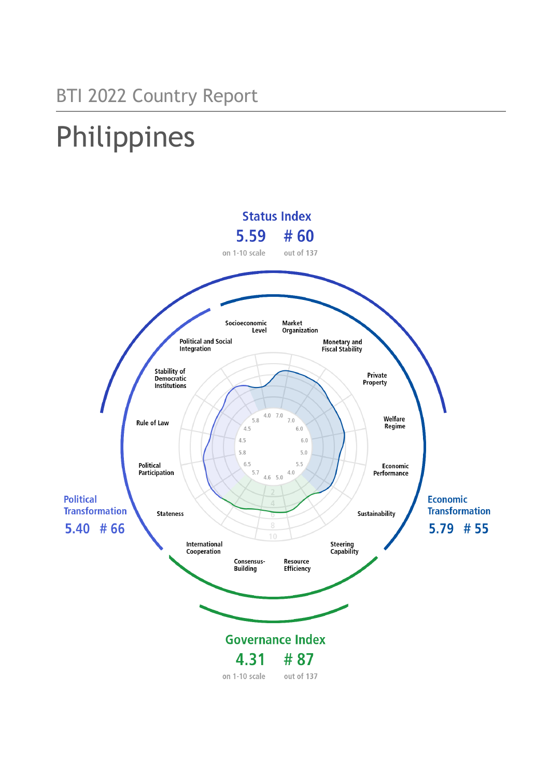# Philippines

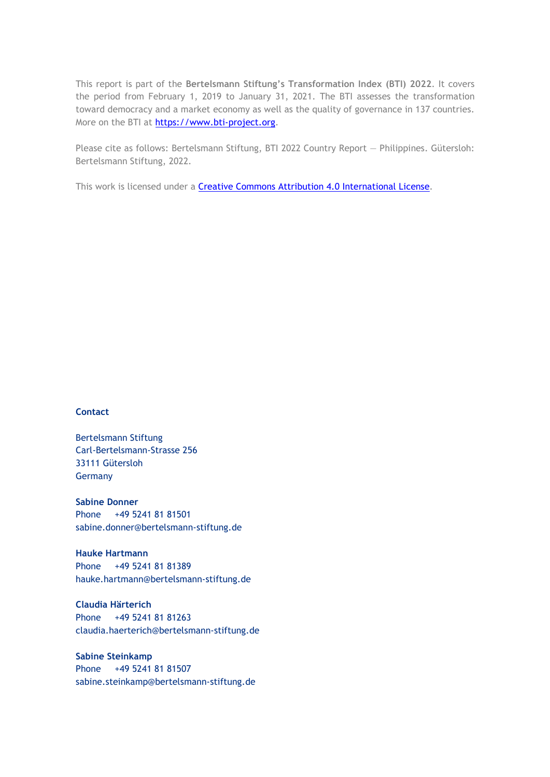This report is part of the **Bertelsmann Stiftung's Transformation Index (BTI) 2022**. It covers the period from February 1, 2019 to January 31, 2021. The BTI assesses the transformation toward democracy and a market economy as well as the quality of governance in 137 countries. More on the BTI at [https://www.bti-project.org.](https://www.bti-project.org/)

Please cite as follows: Bertelsmann Stiftung, BTI 2022 Country Report — Philippines. Gütersloh: Bertelsmann Stiftung, 2022.

This work is licensed under a **Creative Commons Attribution 4.0 International License**.

#### **Contact**

Bertelsmann Stiftung Carl-Bertelsmann-Strasse 256 33111 Gütersloh Germany

**Sabine Donner** Phone +49 5241 81 81501 sabine.donner@bertelsmann-stiftung.de

**Hauke Hartmann** Phone +49 5241 81 81389 hauke.hartmann@bertelsmann-stiftung.de

**Claudia Härterich** Phone +49 5241 81 81263 claudia.haerterich@bertelsmann-stiftung.de

#### **Sabine Steinkamp** Phone +49 5241 81 81507 sabine.steinkamp@bertelsmann-stiftung.de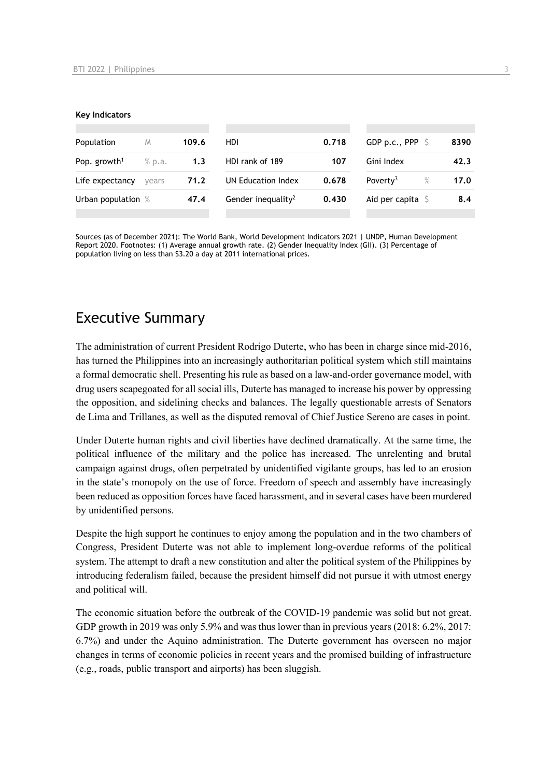#### **Key Indicators**

| Population               | M      | 109.6 | HDI                            | 0.718 | GDP p.c., PPP $\ S$          | 8390 |
|--------------------------|--------|-------|--------------------------------|-------|------------------------------|------|
| Pop. growth <sup>1</sup> | % p.a. | 1.3   | HDI rank of 189                | 107   | Gini Index                   | 42.3 |
| Life expectancy          | vears  | 71.2  | UN Education Index             | 0.678 | Poverty <sup>3</sup><br>$\%$ | 17.0 |
| Urban population %       |        | 47.4  | Gender inequality <sup>2</sup> | 0.430 | Aid per capita $\sqrt{5}$    | 8.4  |
|                          |        |       |                                |       |                              |      |

Sources (as of December 2021): The World Bank, World Development Indicators 2021 | UNDP, Human Development Report 2020. Footnotes: (1) Average annual growth rate. (2) Gender Inequality Index (GII). (3) Percentage of population living on less than \$3.20 a day at 2011 international prices.

## Executive Summary

The administration of current President Rodrigo Duterte, who has been in charge since mid-2016, has turned the Philippines into an increasingly authoritarian political system which still maintains a formal democratic shell. Presenting his rule as based on a law-and-order governance model, with drug users scapegoated for all social ills, Duterte has managed to increase his power by oppressing the opposition, and sidelining checks and balances. The legally questionable arrests of Senators de Lima and Trillanes, as well as the disputed removal of Chief Justice Sereno are cases in point.

Under Duterte human rights and civil liberties have declined dramatically. At the same time, the political influence of the military and the police has increased. The unrelenting and brutal campaign against drugs, often perpetrated by unidentified vigilante groups, has led to an erosion in the state's monopoly on the use of force. Freedom of speech and assembly have increasingly been reduced as opposition forces have faced harassment, and in several cases have been murdered by unidentified persons.

Despite the high support he continues to enjoy among the population and in the two chambers of Congress, President Duterte was not able to implement long-overdue reforms of the political system. The attempt to draft a new constitution and alter the political system of the Philippines by introducing federalism failed, because the president himself did not pursue it with utmost energy and political will.

The economic situation before the outbreak of the COVID-19 pandemic was solid but not great. GDP growth in 2019 was only 5.9% and was thus lower than in previous years (2018: 6.2%, 2017: 6.7%) and under the Aquino administration. The Duterte government has overseen no major changes in terms of economic policies in recent years and the promised building of infrastructure (e.g., roads, public transport and airports) has been sluggish.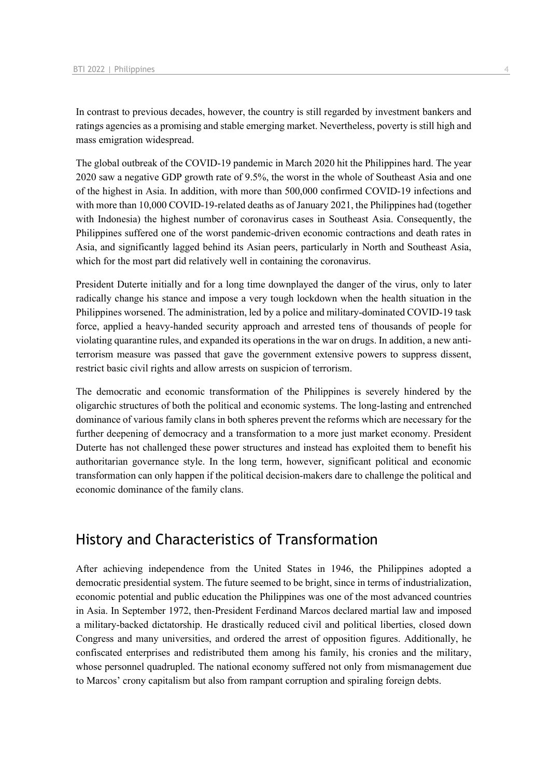In contrast to previous decades, however, the country is still regarded by investment bankers and ratings agencies as a promising and stable emerging market. Nevertheless, poverty is still high and mass emigration widespread.

The global outbreak of the COVID-19 pandemic in March 2020 hit the Philippines hard. The year 2020 saw a negative GDP growth rate of 9.5%, the worst in the whole of Southeast Asia and one of the highest in Asia. In addition, with more than 500,000 confirmed COVID-19 infections and with more than 10,000 COVID-19-related deaths as of January 2021, the Philippines had (together with Indonesia) the highest number of coronavirus cases in Southeast Asia. Consequently, the Philippines suffered one of the worst pandemic-driven economic contractions and death rates in Asia, and significantly lagged behind its Asian peers, particularly in North and Southeast Asia, which for the most part did relatively well in containing the coronavirus.

President Duterte initially and for a long time downplayed the danger of the virus, only to later radically change his stance and impose a very tough lockdown when the health situation in the Philippines worsened. The administration, led by a police and military-dominated COVID-19 task force, applied a heavy-handed security approach and arrested tens of thousands of people for violating quarantine rules, and expanded its operations in the war on drugs. In addition, a new antiterrorism measure was passed that gave the government extensive powers to suppress dissent, restrict basic civil rights and allow arrests on suspicion of terrorism.

The democratic and economic transformation of the Philippines is severely hindered by the oligarchic structures of both the political and economic systems. The long-lasting and entrenched dominance of various family clans in both spheres prevent the reforms which are necessary for the further deepening of democracy and a transformation to a more just market economy. President Duterte has not challenged these power structures and instead has exploited them to benefit his authoritarian governance style. In the long term, however, significant political and economic transformation can only happen if the political decision-makers dare to challenge the political and economic dominance of the family clans.

## History and Characteristics of Transformation

After achieving independence from the United States in 1946, the Philippines adopted a democratic presidential system. The future seemed to be bright, since in terms of industrialization, economic potential and public education the Philippines was one of the most advanced countries in Asia. In September 1972, then-President Ferdinand Marcos declared martial law and imposed a military-backed dictatorship. He drastically reduced civil and political liberties, closed down Congress and many universities, and ordered the arrest of opposition figures. Additionally, he confiscated enterprises and redistributed them among his family, his cronies and the military, whose personnel quadrupled. The national economy suffered not only from mismanagement due to Marcos' crony capitalism but also from rampant corruption and spiraling foreign debts.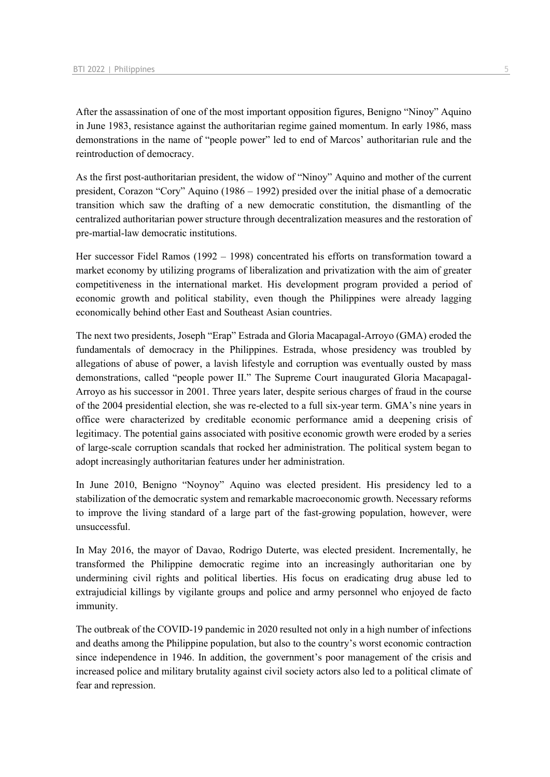After the assassination of one of the most important opposition figures, Benigno "Ninoy" Aquino in June 1983, resistance against the authoritarian regime gained momentum. In early 1986, mass demonstrations in the name of "people power" led to end of Marcos' authoritarian rule and the reintroduction of democracy.

As the first post-authoritarian president, the widow of "Ninoy" Aquino and mother of the current president, Corazon "Cory" Aquino (1986 – 1992) presided over the initial phase of a democratic transition which saw the drafting of a new democratic constitution, the dismantling of the centralized authoritarian power structure through decentralization measures and the restoration of pre-martial-law democratic institutions.

Her successor Fidel Ramos (1992 – 1998) concentrated his efforts on transformation toward a market economy by utilizing programs of liberalization and privatization with the aim of greater competitiveness in the international market. His development program provided a period of economic growth and political stability, even though the Philippines were already lagging economically behind other East and Southeast Asian countries.

The next two presidents, Joseph "Erap" Estrada and Gloria Macapagal-Arroyo (GMA) eroded the fundamentals of democracy in the Philippines. Estrada, whose presidency was troubled by allegations of abuse of power, a lavish lifestyle and corruption was eventually ousted by mass demonstrations, called "people power II." The Supreme Court inaugurated Gloria Macapagal-Arroyo as his successor in 2001. Three years later, despite serious charges of fraud in the course of the 2004 presidential election, she was re-elected to a full six-year term. GMA's nine years in office were characterized by creditable economic performance amid a deepening crisis of legitimacy. The potential gains associated with positive economic growth were eroded by a series of large-scale corruption scandals that rocked her administration. The political system began to adopt increasingly authoritarian features under her administration.

In June 2010, Benigno "Noynoy" Aquino was elected president. His presidency led to a stabilization of the democratic system and remarkable macroeconomic growth. Necessary reforms to improve the living standard of a large part of the fast-growing population, however, were unsuccessful.

In May 2016, the mayor of Davao, Rodrigo Duterte, was elected president. Incrementally, he transformed the Philippine democratic regime into an increasingly authoritarian one by undermining civil rights and political liberties. His focus on eradicating drug abuse led to extrajudicial killings by vigilante groups and police and army personnel who enjoyed de facto immunity.

The outbreak of the COVID-19 pandemic in 2020 resulted not only in a high number of infections and deaths among the Philippine population, but also to the country's worst economic contraction since independence in 1946. In addition, the government's poor management of the crisis and increased police and military brutality against civil society actors also led to a political climate of fear and repression.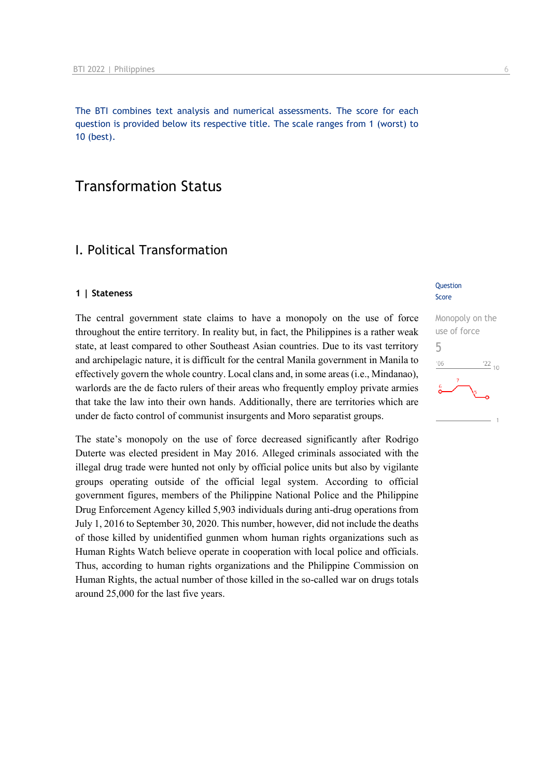The BTI combines text analysis and numerical assessments. The score for each question is provided below its respective title. The scale ranges from 1 (worst) to 10 (best).

## Transformation Status

## I. Political Transformation

#### **1 | Stateness**

The central government state claims to have a monopoly on the use of force throughout the entire territory. In reality but, in fact, the Philippines is a rather weak state, at least compared to other Southeast Asian countries. Due to its vast territory and archipelagic nature, it is difficult for the central Manila government in Manila to effectively govern the whole country. Local clans and, in some areas (i.e., Mindanao), warlords are the de facto rulers of their areas who frequently employ private armies that take the law into their own hands. Additionally, there are territories which are under de facto control of communist insurgents and Moro separatist groups.

The state's monopoly on the use of force decreased significantly after Rodrigo Duterte was elected president in May 2016. Alleged criminals associated with the illegal drug trade were hunted not only by official police units but also by vigilante groups operating outside of the official legal system. According to official government figures, members of the Philippine National Police and the Philippine Drug Enforcement Agency killed 5,903 individuals during anti-drug operations from July 1, 2016 to September 30, 2020. This number, however, did not include the deaths of those killed by unidentified gunmen whom human rights organizations such as Human Rights Watch believe operate in cooperation with local police and officials. Thus, according to human rights organizations and the Philippine Commission on Human Rights, the actual number of those killed in the so-called war on drugs totals around 25,000 for the last five years.

#### **Question** Score

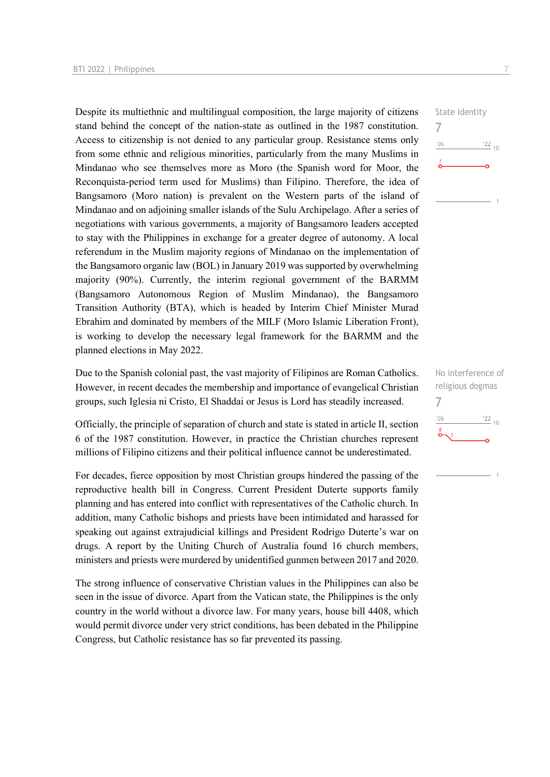Despite its multiethnic and multilingual composition, the large majority of citizens stand behind the concept of the nation-state as outlined in the 1987 constitution. Access to citizenship is not denied to any particular group. Resistance stems only from some ethnic and religious minorities, particularly from the many Muslims in Mindanao who see themselves more as Moro (the Spanish word for Moor, the Reconquista-period term used for Muslims) than Filipino. Therefore, the idea of Bangsamoro (Moro nation) is prevalent on the Western parts of the island of Mindanao and on adjoining smaller islands of the Sulu Archipelago. After a series of negotiations with various governments, a majority of Bangsamoro leaders accepted to stay with the Philippines in exchange for a greater degree of autonomy. A local referendum in the Muslim majority regions of Mindanao on the implementation of the Bangsamoro organic law (BOL) in January 2019 was supported by overwhelming majority (90%). Currently, the interim regional government of the BARMM (Bangsamoro Autonomous Region of Muslim Mindanao), the Bangsamoro Transition Authority (BTA), which is headed by Interim Chief Minister Murad Ebrahim and dominated by members of the MILF (Moro Islamic Liberation Front), is working to develop the necessary legal framework for the BARMM and the planned elections in May 2022.

Due to the Spanish colonial past, the vast majority of Filipinos are Roman Catholics. However, in recent decades the membership and importance of evangelical Christian groups, such Iglesia ni Cristo, El Shaddai or Jesus is Lord has steadily increased.

Officially, the principle of separation of church and state is stated in article II, section 6 of the 1987 constitution. However, in practice the Christian churches represent millions of Filipino citizens and their political influence cannot be underestimated.

For decades, fierce opposition by most Christian groups hindered the passing of the reproductive health bill in Congress. Current President Duterte supports family planning and has entered into conflict with representatives of the Catholic church. In addition, many Catholic bishops and priests have been intimidated and harassed for speaking out against extrajudicial killings and President Rodrigo Duterte's war on drugs. A report by the Uniting Church of Australia found 16 church members, ministers and priests were murdered by unidentified gunmen between 2017 and 2020.

The strong influence of conservative Christian values in the Philippines can also be seen in the issue of divorce. Apart from the Vatican state, the Philippines is the only country in the world without a divorce law. For many years, house bill 4408, which would permit divorce under very strict conditions, has been debated in the Philippine Congress, but Catholic resistance has so far prevented its passing.

State identity 7  $\frac{22}{10}$  $106$ 

No interference of religious dogmas 7 $-06$  $\frac{22}{10}$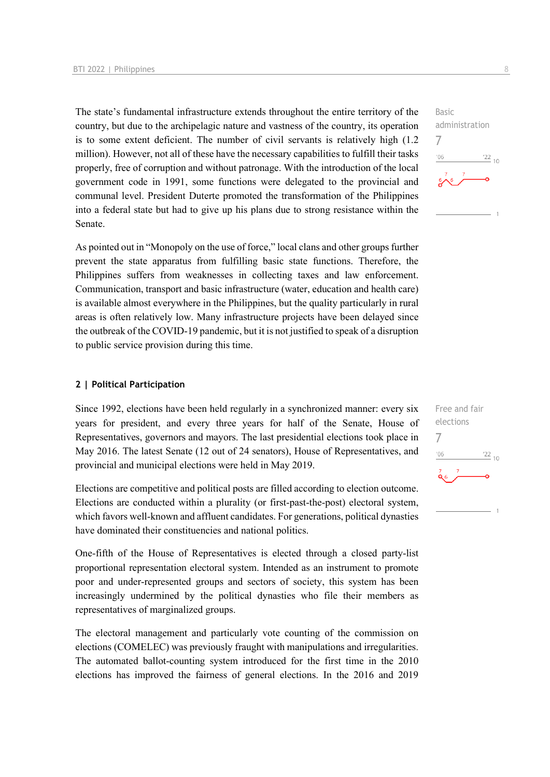The state's fundamental infrastructure extends throughout the entire territory of the country, but due to the archipelagic nature and vastness of the country, its operation is to some extent deficient. The number of civil servants is relatively high (1.2 million). However, not all of these have the necessary capabilities to fulfill their tasks properly, free of corruption and without patronage. With the introduction of the local government code in 1991, some functions were delegated to the provincial and communal level. President Duterte promoted the transformation of the Philippines into a federal state but had to give up his plans due to strong resistance within the Senate.

As pointed out in "Monopoly on the use of force," local clans and other groups further prevent the state apparatus from fulfilling basic state functions. Therefore, the Philippines suffers from weaknesses in collecting taxes and law enforcement. Communication, transport and basic infrastructure (water, education and health care) is available almost everywhere in the Philippines, but the quality particularly in rural areas is often relatively low. Many infrastructure projects have been delayed since the outbreak of the COVID-19 pandemic, but it is not justified to speak of a disruption to public service provision during this time.

#### **2 | Political Participation**

Since 1992, elections have been held regularly in a synchronized manner: every six years for president, and every three years for half of the Senate, House of Representatives, governors and mayors. The last presidential elections took place in May 2016. The latest Senate (12 out of 24 senators), House of Representatives, and provincial and municipal elections were held in May 2019.

Elections are competitive and political posts are filled according to election outcome. Elections are conducted within a plurality (or first-past-the-post) electoral system, which favors well-known and affluent candidates. For generations, political dynasties have dominated their constituencies and national politics.

One-fifth of the House of Representatives is elected through a closed party-list proportional representation electoral system. Intended as an instrument to promote poor and under-represented groups and sectors of society, this system has been increasingly undermined by the political dynasties who file their members as representatives of marginalized groups.

The electoral management and particularly vote counting of the commission on elections (COMELEC) was previously fraught with manipulations and irregularities. The automated ballot-counting system introduced for the first time in the 2010 elections has improved the fairness of general elections. In the 2016 and 2019



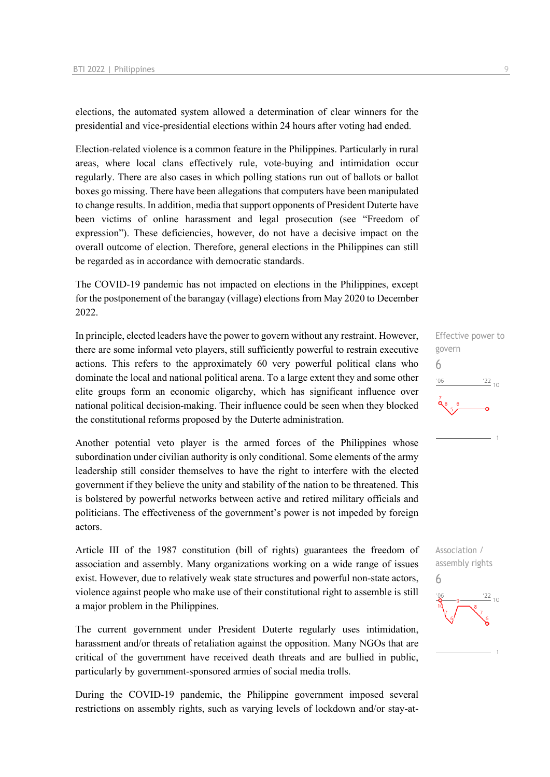elections, the automated system allowed a determination of clear winners for the presidential and vice-presidential elections within 24 hours after voting had ended.

Election-related violence is a common feature in the Philippines. Particularly in rural areas, where local clans effectively rule, vote-buying and intimidation occur regularly. There are also cases in which polling stations run out of ballots or ballot boxes go missing. There have been allegations that computers have been manipulated to change results. In addition, media that support opponents of President Duterte have been victims of online harassment and legal prosecution (see "Freedom of expression"). These deficiencies, however, do not have a decisive impact on the overall outcome of election. Therefore, general elections in the Philippines can still be regarded as in accordance with democratic standards.

The COVID-19 pandemic has not impacted on elections in the Philippines, except for the postponement of the barangay (village) elections from May 2020 to December 2022.

In principle, elected leaders have the power to govern without any restraint. However, there are some informal veto players, still sufficiently powerful to restrain executive actions. This refers to the approximately 60 very powerful political clans who dominate the local and national political arena. To a large extent they and some other elite groups form an economic oligarchy, which has significant influence over national political decision-making. Their influence could be seen when they blocked the constitutional reforms proposed by the Duterte administration.

Another potential veto player is the armed forces of the Philippines whose subordination under civilian authority is only conditional. Some elements of the army leadership still consider themselves to have the right to interfere with the elected government if they believe the unity and stability of the nation to be threatened. This is bolstered by powerful networks between active and retired military officials and politicians. The effectiveness of the government's power is not impeded by foreign actors.

Article III of the 1987 constitution (bill of rights) guarantees the freedom of association and assembly. Many organizations working on a wide range of issues exist. However, due to relatively weak state structures and powerful non-state actors, violence against people who make use of their constitutional right to assemble is still a major problem in the Philippines.

The current government under President Duterte regularly uses intimidation, harassment and/or threats of retaliation against the opposition. Many NGOs that are critical of the government have received death threats and are bullied in public, particularly by government-sponsored armies of social media trolls.

During the COVID-19 pandemic, the Philippine government imposed several restrictions on assembly rights, such as varying levels of lockdown and/or stay-at-



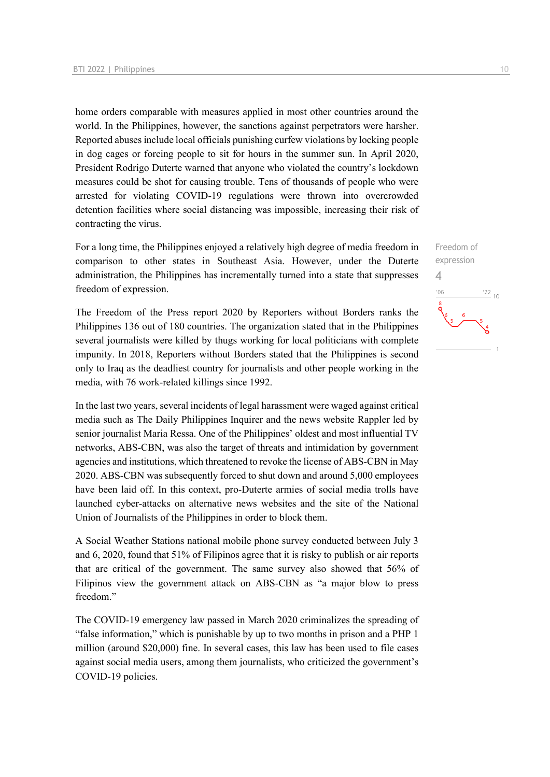home orders comparable with measures applied in most other countries around the world. In the Philippines, however, the sanctions against perpetrators were harsher. Reported abuses include local officials punishing curfew violations by locking people in dog cages or forcing people to sit for hours in the summer sun. In April 2020, President Rodrigo Duterte warned that anyone who violated the country's lockdown measures could be shot for causing trouble. Tens of thousands of people who were arrested for violating COVID-19 regulations were thrown into overcrowded detention facilities where social distancing was impossible, increasing their risk of contracting the virus.

For a long time, the Philippines enjoyed a relatively high degree of media freedom in comparison to other states in Southeast Asia. However, under the Duterte administration, the Philippines has incrementally turned into a state that suppresses freedom of expression.

The Freedom of the Press report 2020 by Reporters without Borders ranks the Philippines 136 out of 180 countries. The organization stated that in the Philippines several journalists were killed by thugs working for local politicians with complete impunity. In 2018, Reporters without Borders stated that the Philippines is second only to Iraq as the deadliest country for journalists and other people working in the media, with 76 work-related killings since 1992.

In the last two years, several incidents of legal harassment were waged against critical media such as The Daily Philippines Inquirer and the news website Rappler led by senior journalist Maria Ressa. One of the Philippines' oldest and most influential TV networks, ABS-CBN, was also the target of threats and intimidation by government agencies and institutions, which threatened to revoke the license of ABS-CBN in May 2020. ABS-CBN was subsequently forced to shut down and around 5,000 employees have been laid off. In this context, pro-Duterte armies of social media trolls have launched cyber-attacks on alternative news websites and the site of the National Union of Journalists of the Philippines in order to block them.

A Social Weather Stations national mobile phone survey conducted between July 3 and 6, 2020, found that 51% of Filipinos agree that it is risky to publish or air reports that are critical of the government. The same survey also showed that 56% of Filipinos view the government attack on ABS-CBN as "a major blow to press freedom."

The COVID-19 emergency law passed in March 2020 criminalizes the spreading of "false information," which is punishable by up to two months in prison and a PHP 1 million (around \$20,000) fine. In several cases, this law has been used to file cases against social media users, among them journalists, who criticized the government's COVID-19 policies.

Freedom of expression 4 $\frac{22}{10}$  $-06$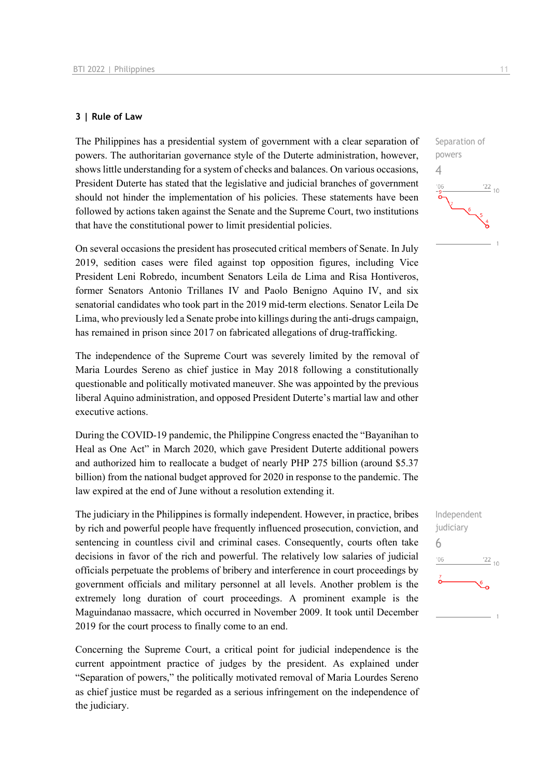#### **3 | Rule of Law**

The Philippines has a presidential system of government with a clear separation of powers. The authoritarian governance style of the Duterte administration, however, shows little understanding for a system of checks and balances. On various occasions, President Duterte has stated that the legislative and judicial branches of government should not hinder the implementation of his policies. These statements have been followed by actions taken against the Senate and the Supreme Court, two institutions that have the constitutional power to limit presidential policies.

On several occasions the president has prosecuted critical members of Senate. In July 2019, sedition cases were filed against top opposition figures, including Vice President Leni Robredo, incumbent Senators Leila de Lima and Risa Hontiveros, former Senators Antonio Trillanes IV and Paolo Benigno Aquino IV, and six senatorial candidates who took part in the 2019 mid-term elections. Senator Leila De Lima, who previously led a Senate probe into killings during the anti-drugs campaign, has remained in prison since 2017 on fabricated allegations of drug-trafficking.

The independence of the Supreme Court was severely limited by the removal of Maria Lourdes Sereno as chief justice in May 2018 following a constitutionally questionable and politically motivated maneuver. She was appointed by the previous liberal Aquino administration, and opposed President Duterte's martial law and other executive actions.

During the COVID-19 pandemic, the Philippine Congress enacted the "Bayanihan to Heal as One Act" in March 2020, which gave President Duterte additional powers and authorized him to reallocate a budget of nearly PHP 275 billion (around \$5.37 billion) from the national budget approved for 2020 in response to the pandemic. The law expired at the end of June without a resolution extending it.

The judiciary in the Philippines is formally independent. However, in practice, bribes by rich and powerful people have frequently influenced prosecution, conviction, and sentencing in countless civil and criminal cases. Consequently, courts often take decisions in favor of the rich and powerful. The relatively low salaries of judicial officials perpetuate the problems of bribery and interference in court proceedings by government officials and military personnel at all levels. Another problem is the extremely long duration of court proceedings. A prominent example is the Maguindanao massacre, which occurred in November 2009. It took until December 2019 for the court process to finally come to an end.

Concerning the Supreme Court, a critical point for judicial independence is the current appointment practice of judges by the president. As explained under "Separation of powers," the politically motivated removal of Maria Lourdes Sereno as chief justice must be regarded as a serious infringement on the independence of the judiciary.



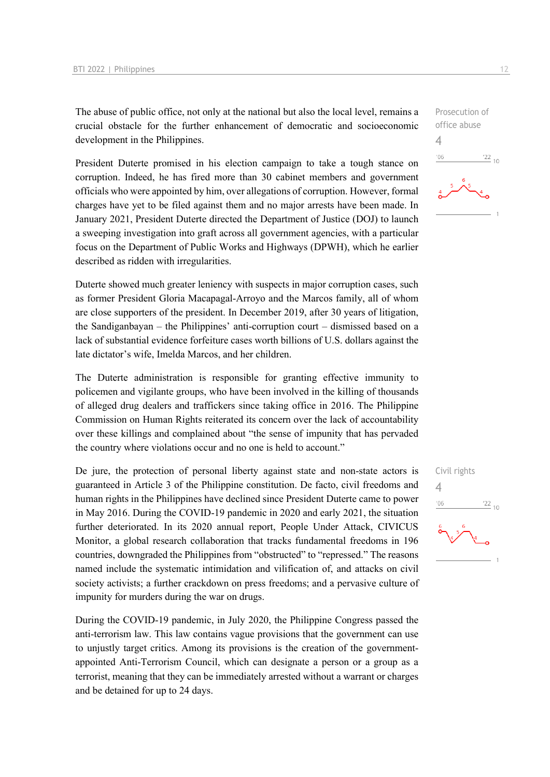The abuse of public office, not only at the national but also the local level, remains a crucial obstacle for the further enhancement of democratic and socioeconomic development in the Philippines.

President Duterte promised in his election campaign to take a tough stance on corruption. Indeed, he has fired more than 30 cabinet members and government officials who were appointed by him, over allegations of corruption. However, formal charges have yet to be filed against them and no major arrests have been made. In January 2021, President Duterte directed the Department of Justice (DOJ) to launch a sweeping investigation into graft across all government agencies, with a particular focus on the Department of Public Works and Highways (DPWH), which he earlier described as ridden with irregularities.

Duterte showed much greater leniency with suspects in major corruption cases, such as former President Gloria Macapagal-Arroyo and the Marcos family, all of whom are close supporters of the president. In December 2019, after 30 years of litigation, the Sandiganbayan – the Philippines' anti-corruption court – dismissed based on a lack of substantial evidence forfeiture cases worth billions of U.S. dollars against the late dictator's wife, Imelda Marcos, and her children.

The Duterte administration is responsible for granting effective immunity to policemen and vigilante groups, who have been involved in the killing of thousands of alleged drug dealers and traffickers since taking office in 2016. The Philippine Commission on Human Rights reiterated its concern over the lack of accountability over these killings and complained about "the sense of impunity that has pervaded the country where violations occur and no one is held to account."

De jure, the protection of personal liberty against state and non-state actors is guaranteed in Article 3 of the Philippine constitution. De facto, civil freedoms and human rights in the Philippines have declined since President Duterte came to power in May 2016. During the COVID-19 pandemic in 2020 and early 2021, the situation further deteriorated. In its 2020 annual report, People Under Attack, CIVICUS Monitor, a global research collaboration that tracks fundamental freedoms in 196 countries, downgraded the Philippines from "obstructed" to "repressed." The reasons named include the systematic intimidation and vilification of, and attacks on civil society activists; a further crackdown on press freedoms; and a pervasive culture of impunity for murders during the war on drugs.

During the COVID-19 pandemic, in July 2020, the Philippine Congress passed the anti-terrorism law. This law contains vague provisions that the government can use to unjustly target critics. Among its provisions is the creation of the governmentappointed Anti-Terrorism Council, which can designate a person or a group as a terrorist, meaning that they can be immediately arrested without a warrant or charges and be detained for up to 24 days.

4

 $-06$ 

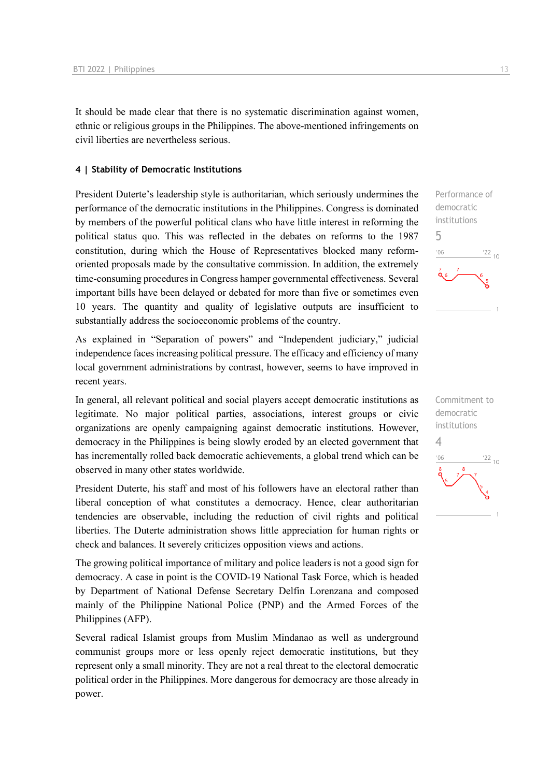It should be made clear that there is no systematic discrimination against women, ethnic or religious groups in the Philippines. The above-mentioned infringements on civil liberties are nevertheless serious.

#### **4 | Stability of Democratic Institutions**

President Duterte's leadership style is authoritarian, which seriously undermines the performance of the democratic institutions in the Philippines. Congress is dominated by members of the powerful political clans who have little interest in reforming the political status quo. This was reflected in the debates on reforms to the 1987 constitution, during which the House of Representatives blocked many reformoriented proposals made by the consultative commission. In addition, the extremely time-consuming procedures in Congress hamper governmental effectiveness. Several important bills have been delayed or debated for more than five or sometimes even 10 years. The quantity and quality of legislative outputs are insufficient to substantially address the socioeconomic problems of the country.

As explained in "Separation of powers" and "Independent judiciary," judicial independence faces increasing political pressure. The efficacy and efficiency of many local government administrations by contrast, however, seems to have improved in recent years.

In general, all relevant political and social players accept democratic institutions as legitimate. No major political parties, associations, interest groups or civic organizations are openly campaigning against democratic institutions. However, democracy in the Philippines is being slowly eroded by an elected government that has incrementally rolled back democratic achievements, a global trend which can be observed in many other states worldwide.

President Duterte, his staff and most of his followers have an electoral rather than liberal conception of what constitutes a democracy. Hence, clear authoritarian tendencies are observable, including the reduction of civil rights and political liberties. The Duterte administration shows little appreciation for human rights or check and balances. It severely criticizes opposition views and actions.

The growing political importance of military and police leaders is not a good sign for democracy. A case in point is the COVID-19 National Task Force, which is headed by Department of National Defense Secretary Delfin Lorenzana and composed mainly of the Philippine National Police (PNP) and the Armed Forces of the Philippines (AFP).

Several radical Islamist groups from Muslim Mindanao as well as underground communist groups more or less openly reject democratic institutions, but they represent only a small minority. They are not a real threat to the electoral democratic political order in the Philippines. More dangerous for democracy are those already in power.

Performance of democratic institutions 5  $\frac{22}{10}$  $^{\prime}06$ 

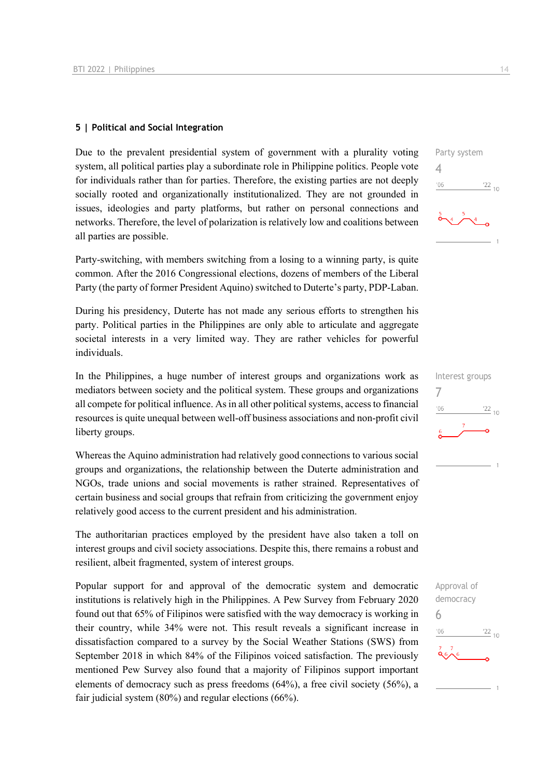#### **5 | Political and Social Integration**

Due to the prevalent presidential system of government with a plurality voting system, all political parties play a subordinate role in Philippine politics. People vote for individuals rather than for parties. Therefore, the existing parties are not deeply socially rooted and organizationally institutionalized. They are not grounded in issues, ideologies and party platforms, but rather on personal connections and networks. Therefore, the level of polarization is relatively low and coalitions between all parties are possible.

Party-switching, with members switching from a losing to a winning party, is quite common. After the 2016 Congressional elections, dozens of members of the Liberal Party (the party of former President Aquino) switched to Duterte's party, PDP-Laban.

During his presidency, Duterte has not made any serious efforts to strengthen his party. Political parties in the Philippines are only able to articulate and aggregate societal interests in a very limited way. They are rather vehicles for powerful individuals.

In the Philippines, a huge number of interest groups and organizations work as mediators between society and the political system. These groups and organizations all compete for political influence. As in all other political systems, access to financial resources is quite unequal between well-off business associations and non-profit civil liberty groups.

Whereas the Aquino administration had relatively good connections to various social groups and organizations, the relationship between the Duterte administration and NGOs, trade unions and social movements is rather strained. Representatives of certain business and social groups that refrain from criticizing the government enjoy relatively good access to the current president and his administration.

The authoritarian practices employed by the president have also taken a toll on interest groups and civil society associations. Despite this, there remains a robust and resilient, albeit fragmented, system of interest groups.

Popular support for and approval of the democratic system and democratic institutions is relatively high in the Philippines. A Pew Survey from February 2020 found out that 65% of Filipinos were satisfied with the way democracy is working in their country, while 34% were not. This result reveals a significant increase in dissatisfaction compared to a survey by the Social Weather Stations (SWS) from September 2018 in which 84% of the Filipinos voiced satisfaction. The previously mentioned Pew Survey also found that a majority of Filipinos support important elements of democracy such as press freedoms (64%), a free civil society (56%), a fair judicial system (80%) and regular elections (66%).



| Interest groups |               |
|-----------------|---------------|
|                 |               |
| '06             | $^{22}_{-10}$ |
| $\overline{6}$  |               |

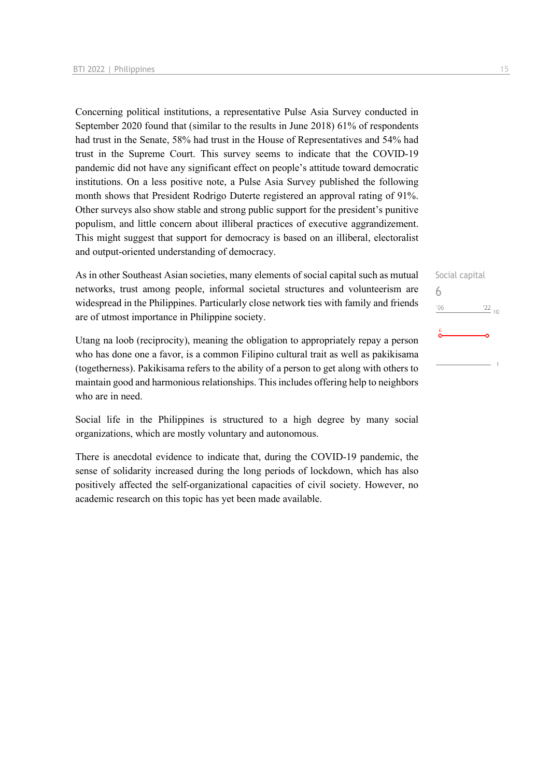Concerning political institutions, a representative Pulse Asia Survey conducted in September 2020 found that (similar to the results in June 2018) 61% of respondents had trust in the Senate, 58% had trust in the House of Representatives and 54% had trust in the Supreme Court. This survey seems to indicate that the COVID-19 pandemic did not have any significant effect on people's attitude toward democratic institutions. On a less positive note, a Pulse Asia Survey published the following month shows that President Rodrigo Duterte registered an approval rating of 91%. Other surveys also show stable and strong public support for the president's punitive populism, and little concern about illiberal practices of executive aggrandizement. This might suggest that support for democracy is based on an illiberal, electoralist and output-oriented understanding of democracy.

As in other Southeast Asian societies, many elements of social capital such as mutual networks, trust among people, informal societal structures and volunteerism are widespread in the Philippines. Particularly close network ties with family and friends are of utmost importance in Philippine society.

Utang na loob (reciprocity), meaning the obligation to appropriately repay a person who has done one a favor, is a common Filipino cultural trait as well as pakikisama (togetherness). Pakikisama refers to the ability of a person to get along with others to maintain good and harmonious relationships. This includes offering help to neighbors who are in need.

Social life in the Philippines is structured to a high degree by many social organizations, which are mostly voluntary and autonomous.

There is anecdotal evidence to indicate that, during the COVID-19 pandemic, the sense of solidarity increased during the long periods of lockdown, which has also positively affected the self-organizational capacities of civil society. However, no academic research on this topic has yet been made available.

Social capital 6 $'06$  $\frac{22}{10}$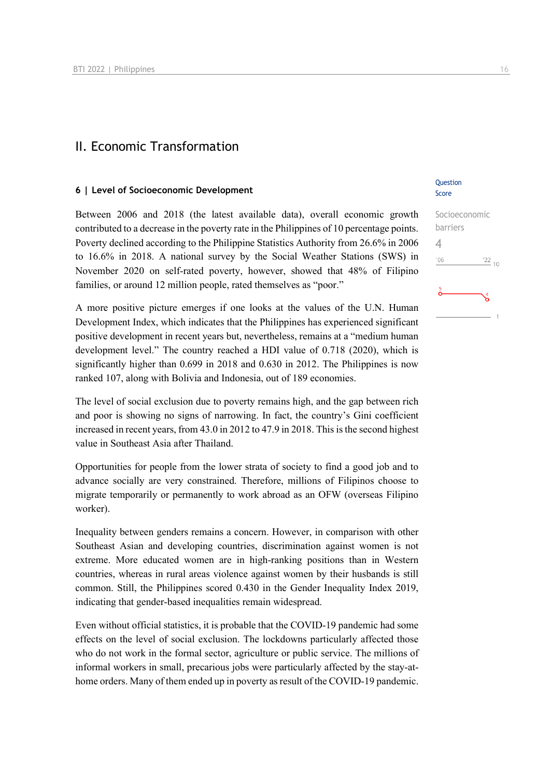### II. Economic Transformation

#### **6 | Level of Socioeconomic Development**

Between 2006 and 2018 (the latest available data), overall economic growth contributed to a decrease in the poverty rate in the Philippines of 10 percentage points. Poverty declined according to the Philippine Statistics Authority from 26.6% in 2006 to 16.6% in 2018. A national survey by the Social Weather Stations (SWS) in November 2020 on self-rated poverty, however, showed that 48% of Filipino families, or around 12 million people, rated themselves as "poor."

A more positive picture emerges if one looks at the values of the U.N. Human Development Index, which indicates that the Philippines has experienced significant positive development in recent years but, nevertheless, remains at a "medium human development level." The country reached a HDI value of 0.718 (2020), which is significantly higher than 0.699 in 2018 and 0.630 in 2012. The Philippines is now ranked 107, along with Bolivia and Indonesia, out of 189 economies.

The level of social exclusion due to poverty remains high, and the gap between rich and poor is showing no signs of narrowing. In fact, the country's Gini coefficient increased in recent years, from 43.0 in 2012 to 47.9 in 2018. This is the second highest value in Southeast Asia after Thailand.

Opportunities for people from the lower strata of society to find a good job and to advance socially are very constrained. Therefore, millions of Filipinos choose to migrate temporarily or permanently to work abroad as an OFW (overseas Filipino worker).

Inequality between genders remains a concern. However, in comparison with other Southeast Asian and developing countries, discrimination against women is not extreme. More educated women are in high-ranking positions than in Western countries, whereas in rural areas violence against women by their husbands is still common. Still, the Philippines scored 0.430 in the Gender Inequality Index 2019, indicating that gender-based inequalities remain widespread.

Even without official statistics, it is probable that the COVID-19 pandemic had some effects on the level of social exclusion. The lockdowns particularly affected those who do not work in the formal sector, agriculture or public service. The millions of informal workers in small, precarious jobs were particularly affected by the stay-athome orders. Many of them ended up in poverty as result of the COVID-19 pandemic.

#### **Ouestion** Score

| Socioeconomic |                 |
|---------------|-----------------|
| barriers      |                 |
|               |                 |
| '06           | $\frac{22}{10}$ |
| $\frac{5}{9}$ |                 |
|               |                 |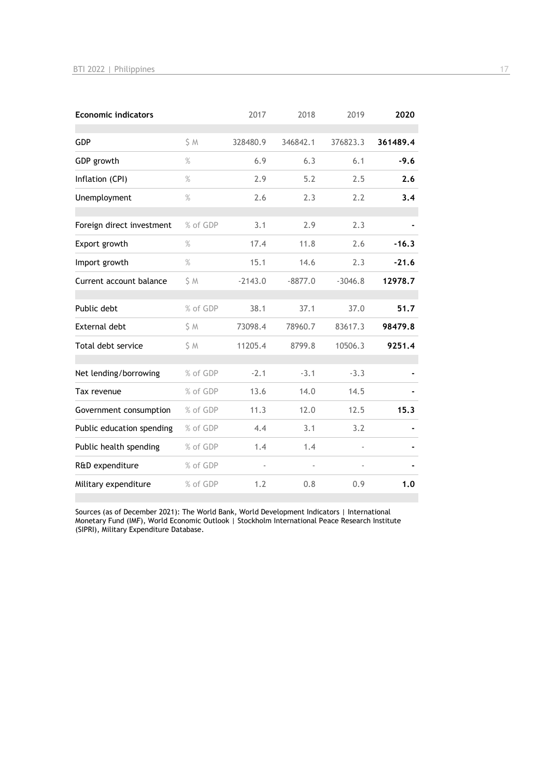| <b>Economic indicators</b> |          | 2017      | 2018      | 2019      | 2020     |
|----------------------------|----------|-----------|-----------|-----------|----------|
| <b>GDP</b>                 | S M      | 328480.9  | 346842.1  | 376823.3  | 361489.4 |
| GDP growth                 | $\%$     | 6.9       | 6.3       | 6.1       | $-9.6$   |
| Inflation (CPI)            | $\%$     | 2.9       | 5.2       | 2.5       | 2.6      |
| Unemployment               | $\%$     | 2.6       | 2.3       | 2.2       | 3.4      |
| Foreign direct investment  | % of GDP | 3.1       | 2.9       | 2.3       |          |
| Export growth              | $\%$     | 17.4      | 11.8      | 2.6       | $-16.3$  |
| Import growth              | $\%$     | 15.1      | 14.6      | 2.3       | $-21.6$  |
| Current account balance    | \$M      | $-2143.0$ | $-8877.0$ | $-3046.8$ | 12978.7  |
| Public debt                | % of GDP | 38.1      | 37.1      | 37.0      | 51.7     |
| <b>External debt</b>       | \$M      | 73098.4   | 78960.7   | 83617.3   | 98479.8  |
| Total debt service         | \$M      | 11205.4   | 8799.8    | 10506.3   | 9251.4   |
| Net lending/borrowing      | % of GDP | $-2.1$    | $-3.1$    | $-3.3$    |          |
| Tax revenue                | % of GDP | 13.6      | 14.0      | 14.5      |          |
| Government consumption     | % of GDP | 11.3      | 12.0      | 12.5      | 15.3     |
| Public education spending  | % of GDP | 4.4       | 3.1       | 3.2       |          |
| Public health spending     | % of GDP | 1.4       | 1.4       |           |          |
| R&D expenditure            | % of GDP |           |           |           |          |
| Military expenditure       | % of GDP | 1.2       | 0.8       | 0.9       | 1.0      |

Sources (as of December 2021): The World Bank, World Development Indicators | International Monetary Fund (IMF), World Economic Outlook | Stockholm International Peace Research Institute (SIPRI), Military Expenditure Database.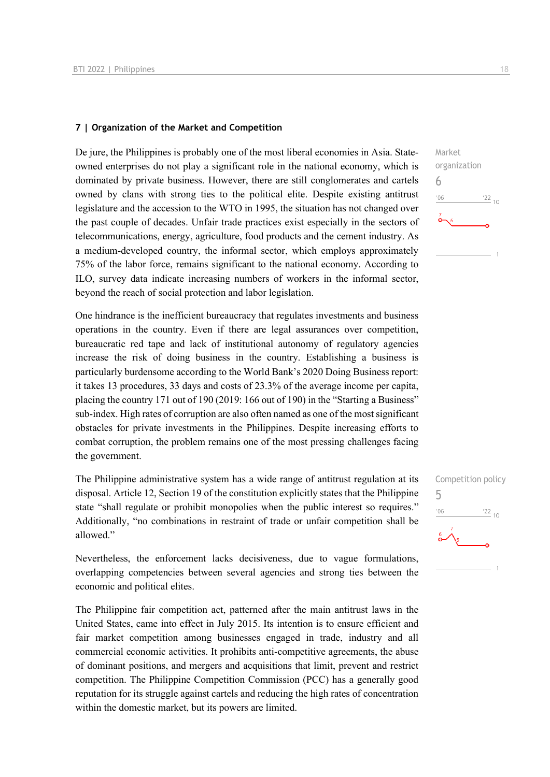#### **7 | Organization of the Market and Competition**

De jure, the Philippines is probably one of the most liberal economies in Asia. Stateowned enterprises do not play a significant role in the national economy, which is dominated by private business. However, there are still conglomerates and cartels owned by clans with strong ties to the political elite. Despite existing antitrust legislature and the accession to the WTO in 1995, the situation has not changed over the past couple of decades. Unfair trade practices exist especially in the sectors of telecommunications, energy, agriculture, food products and the cement industry. As a medium-developed country, the informal sector, which employs approximately 75% of the labor force, remains significant to the national economy. According to ILO, survey data indicate increasing numbers of workers in the informal sector, beyond the reach of social protection and labor legislation.

One hindrance is the inefficient bureaucracy that regulates investments and business operations in the country. Even if there are legal assurances over competition, bureaucratic red tape and lack of institutional autonomy of regulatory agencies increase the risk of doing business in the country. Establishing a business is particularly burdensome according to the World Bank's 2020 Doing Business report: it takes 13 procedures, 33 days and costs of 23.3% of the average income per capita, placing the country 171 out of 190 (2019: 166 out of 190) in the "Starting a Business" sub-index. High rates of corruption are also often named as one of the most significant obstacles for private investments in the Philippines. Despite increasing efforts to combat corruption, the problem remains one of the most pressing challenges facing the government.

The Philippine administrative system has a wide range of antitrust regulation at its disposal. Article 12, Section 19 of the constitution explicitly states that the Philippine state "shall regulate or prohibit monopolies when the public interest so requires." Additionally, "no combinations in restraint of trade or unfair competition shall be allowed."

Nevertheless, the enforcement lacks decisiveness, due to vague formulations, overlapping competencies between several agencies and strong ties between the economic and political elites.

The Philippine fair competition act, patterned after the main antitrust laws in the United States, came into effect in July 2015. Its intention is to ensure efficient and fair market competition among businesses engaged in trade, industry and all commercial economic activities. It prohibits anti-competitive agreements, the abuse of dominant positions, and mergers and acquisitions that limit, prevent and restrict competition. The Philippine Competition Commission (PCC) has a generally good reputation for its struggle against cartels and reducing the high rates of concentration within the domestic market, but its powers are limited.



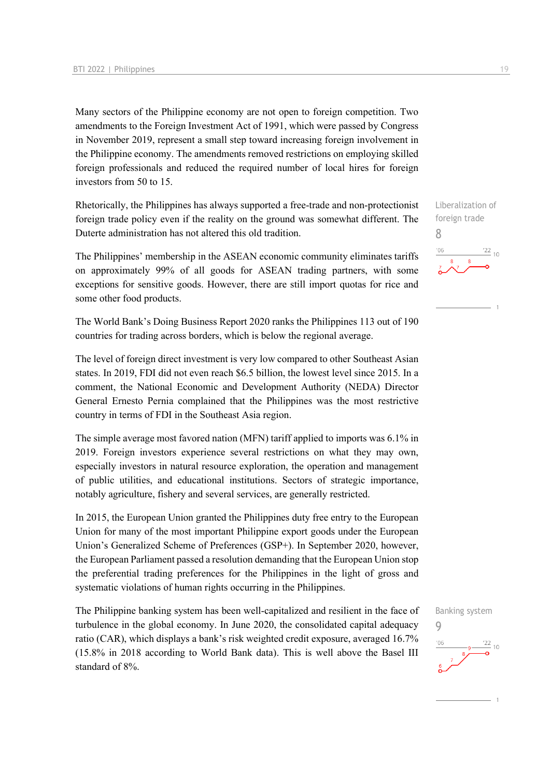Many sectors of the Philippine economy are not open to foreign competition. Two amendments to the Foreign Investment Act of 1991, which were passed by Congress in November 2019, represent a small step toward increasing foreign involvement in the Philippine economy. The amendments removed restrictions on employing skilled foreign professionals and reduced the required number of local hires for foreign investors from 50 to 15.

Rhetorically, the Philippines has always supported a free-trade and non-protectionist foreign trade policy even if the reality on the ground was somewhat different. The Duterte administration has not altered this old tradition.

The Philippines' membership in the ASEAN economic community eliminates tariffs on approximately 99% of all goods for ASEAN trading partners, with some exceptions for sensitive goods. However, there are still import quotas for rice and some other food products.

The World Bank's Doing Business Report 2020 ranks the Philippines 113 out of 190 countries for trading across borders, which is below the regional average.

The level of foreign direct investment is very low compared to other Southeast Asian states. In 2019, FDI did not even reach \$6.5 billion, the lowest level since 2015. In a comment, the National Economic and Development Authority (NEDA) Director General Ernesto Pernia complained that the Philippines was the most restrictive country in terms of FDI in the Southeast Asia region.

The simple average most favored nation (MFN) tariff applied to imports was 6.1% in 2019. Foreign investors experience several restrictions on what they may own, especially investors in natural resource exploration, the operation and management of public utilities, and educational institutions. Sectors of strategic importance, notably agriculture, fishery and several services, are generally restricted.

In 2015, the European Union granted the Philippines duty free entry to the European Union for many of the most important Philippine export goods under the European Union's Generalized Scheme of Preferences (GSP+). In September 2020, however, the European Parliament passed a resolution demanding that the European Union stop the preferential trading preferences for the Philippines in the light of gross and systematic violations of human rights occurring in the Philippines.

The Philippine banking system has been well-capitalized and resilient in the face of turbulence in the global economy. In June 2020, the consolidated capital adequacy ratio (CAR), which displays a bank's risk weighted credit exposure, averaged 16.7% (15.8% in 2018 according to World Bank data). This is well above the Basel III standard of 8%.

Liberalization of foreign trade 8  $\frac{22}{10}$  $-06$ 



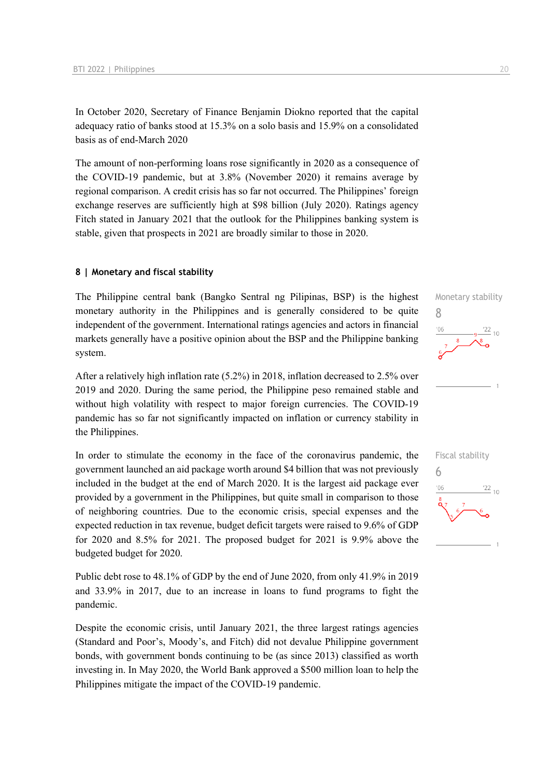In October 2020, Secretary of Finance Benjamin Diokno reported that the capital adequacy ratio of banks stood at 15.3% on a solo basis and 15.9% on a consolidated basis as of end-March 2020

The amount of non-performing loans rose significantly in 2020 as a consequence of the COVID-19 pandemic, but at 3.8% (November 2020) it remains average by regional comparison. A credit crisis has so far not occurred. The Philippines' foreign exchange reserves are sufficiently high at \$98 billion (July 2020). Ratings agency Fitch stated in January 2021 that the outlook for the Philippines banking system is stable, given that prospects in 2021 are broadly similar to those in 2020.

#### **8 | Monetary and fiscal stability**

The Philippine central bank (Bangko Sentral ng Pilipinas, BSP) is the highest monetary authority in the Philippines and is generally considered to be quite independent of the government. International ratings agencies and actors in financial markets generally have a positive opinion about the BSP and the Philippine banking system.

After a relatively high inflation rate (5.2%) in 2018, inflation decreased to 2.5% over 2019 and 2020. During the same period, the Philippine peso remained stable and without high volatility with respect to major foreign currencies. The COVID-19 pandemic has so far not significantly impacted on inflation or currency stability in the Philippines.

In order to stimulate the economy in the face of the coronavirus pandemic, the government launched an aid package worth around \$4 billion that was not previously included in the budget at the end of March 2020. It is the largest aid package ever provided by a government in the Philippines, but quite small in comparison to those of neighboring countries. Due to the economic crisis, special expenses and the expected reduction in tax revenue, budget deficit targets were raised to 9.6% of GDP for 2020 and 8.5% for 2021. The proposed budget for 2021 is 9.9% above the budgeted budget for 2020.

Public debt rose to 48.1% of GDP by the end of June 2020, from only 41.9% in 2019 and 33.9% in 2017, due to an increase in loans to fund programs to fight the pandemic.

Despite the economic crisis, until January 2021, the three largest ratings agencies (Standard and Poor's, Moody's, and Fitch) did not devalue Philippine government bonds, with government bonds continuing to be (as since 2013) classified as worth investing in. In May 2020, the World Bank approved a \$500 million loan to help the Philippines mitigate the impact of the COVID-19 pandemic.



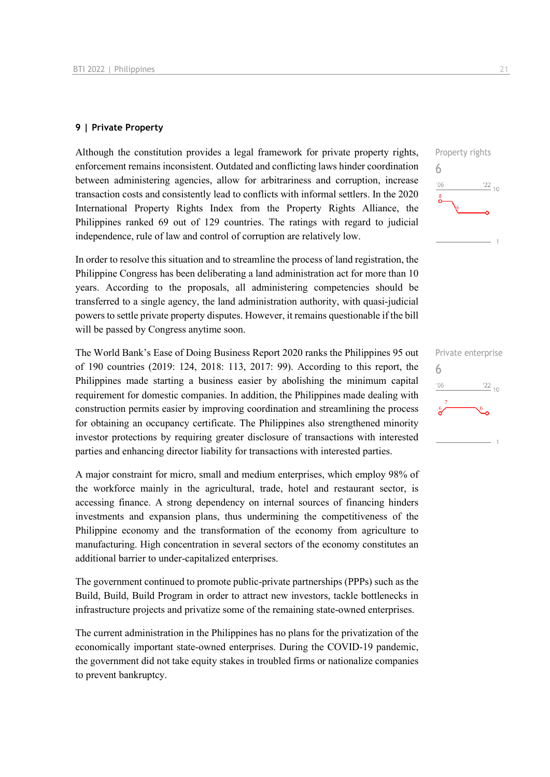#### **9 | Private Property**

Although the constitution provides a legal framework for private property rights, enforcement remains inconsistent. Outdated and conflicting laws hinder coordination between administering agencies, allow for arbitrariness and corruption, increase transaction costs and consistently lead to conflicts with informal settlers. In the 2020 International Property Rights Index from the Property Rights Alliance, the Philippines ranked 69 out of 129 countries. The ratings with regard to judicial independence, rule of law and control of corruption are relatively low.

In order to resolve this situation and to streamline the process of land registration, the Philippine Congress has been deliberating a land administration act for more than 10 years. According to the proposals, all administering competencies should be transferred to a single agency, the land administration authority, with quasi-judicial powers to settle private property disputes. However, it remains questionable if the bill will be passed by Congress anytime soon.

The World Bank's Ease of Doing Business Report 2020 ranks the Philippines 95 out of 190 countries (2019: 124, 2018: 113, 2017: 99). According to this report, the Philippines made starting a business easier by abolishing the minimum capital requirement for domestic companies. In addition, the Philippines made dealing with construction permits easier by improving coordination and streamlining the process for obtaining an occupancy certificate. The Philippines also strengthened minority investor protections by requiring greater disclosure of transactions with interested parties and enhancing director liability for transactions with interested parties.

A major constraint for micro, small and medium enterprises, which employ 98% of the workforce mainly in the agricultural, trade, hotel and restaurant sector, is accessing finance. A strong dependency on internal sources of financing hinders investments and expansion plans, thus undermining the competitiveness of the Philippine economy and the transformation of the economy from agriculture to manufacturing. High concentration in several sectors of the economy constitutes an additional barrier to under-capitalized enterprises.

The government continued to promote public-private partnerships (PPPs) such as the Build, Build, Build Program in order to attract new investors, tackle bottlenecks in infrastructure projects and privatize some of the remaining state-owned enterprises.

The current administration in the Philippines has no plans for the privatization of the economically important state-owned enterprises. During the COVID-19 pandemic, the government did not take equity stakes in troubled firms or nationalize companies to prevent bankruptcy.



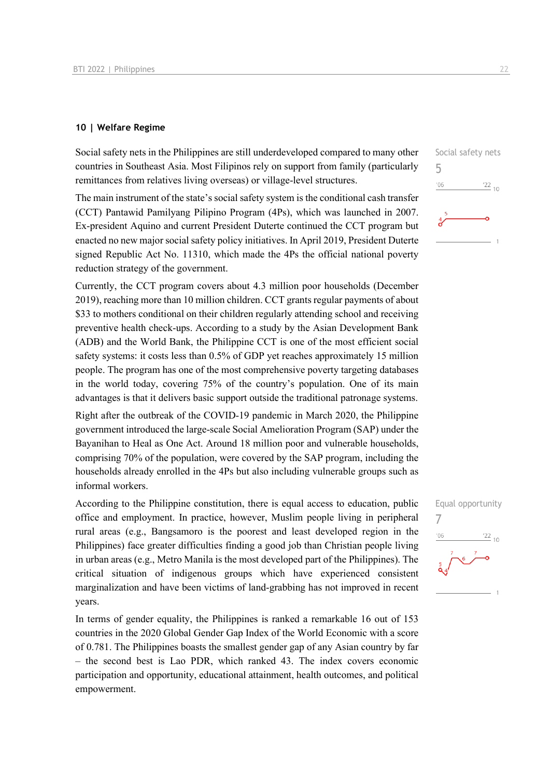#### **10 | Welfare Regime**

Social safety nets in the Philippines are still underdeveloped compared to many other countries in Southeast Asia. Most Filipinos rely on support from family (particularly remittances from relatives living overseas) or village-level structures.

The main instrument of the state's social safety system is the conditional cash transfer (CCT) Pantawid Pamilyang Pilipino Program (4Ps), which was launched in 2007. Ex-president Aquino and current President Duterte continued the CCT program but enacted no new major social safety policy initiatives. In April 2019, President Duterte signed Republic Act No. 11310, which made the 4Ps the official national poverty reduction strategy of the government.

Currently, the CCT program covers about 4.3 million poor households (December 2019), reaching more than 10 million children. CCT grants regular payments of about \$33 to mothers conditional on their children regularly attending school and receiving preventive health check-ups. According to a study by the Asian Development Bank (ADB) and the World Bank, the Philippine CCT is one of the most efficient social safety systems: it costs less than 0.5% of GDP yet reaches approximately 15 million people. The program has one of the most comprehensive poverty targeting databases in the world today, covering 75% of the country's population. One of its main advantages is that it delivers basic support outside the traditional patronage systems.

Right after the outbreak of the COVID-19 pandemic in March 2020, the Philippine government introduced the large-scale Social Amelioration Program (SAP) under the Bayanihan to Heal as One Act. Around 18 million poor and vulnerable households, comprising 70% of the population, were covered by the SAP program, including the households already enrolled in the 4Ps but also including vulnerable groups such as informal workers.

According to the Philippine constitution, there is equal access to education, public office and employment. In practice, however, Muslim people living in peripheral rural areas (e.g., Bangsamoro is the poorest and least developed region in the Philippines) face greater difficulties finding a good job than Christian people living in urban areas (e.g., Metro Manila is the most developed part of the Philippines). The critical situation of indigenous groups which have experienced consistent marginalization and have been victims of land-grabbing has not improved in recent years.

In terms of gender equality, the Philippines is ranked a remarkable 16 out of 153 countries in the 2020 Global Gender Gap Index of the World Economic with a score of 0.781. The Philippines boasts the smallest gender gap of any Asian country by far – the second best is Lao PDR, which ranked 43. The index covers economic participation and opportunity, educational attainment, health outcomes, and political empowerment.



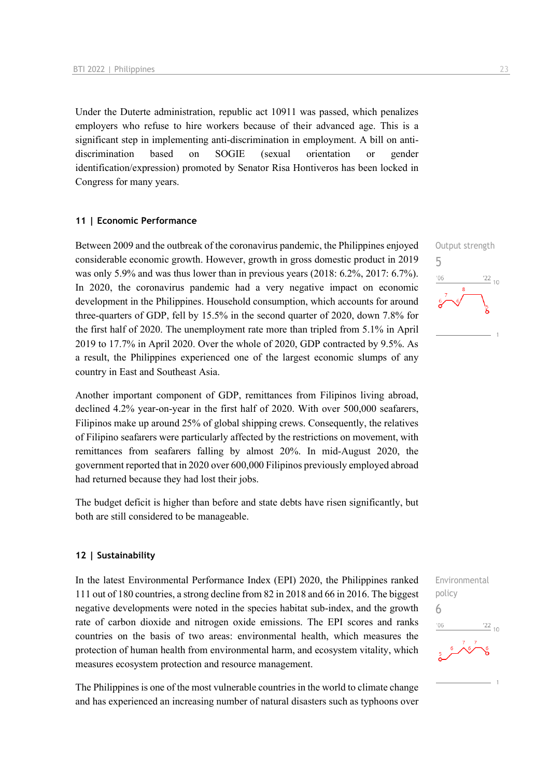Under the Duterte administration, republic act 10911 was passed, which penalizes employers who refuse to hire workers because of their advanced age. This is a significant step in implementing anti-discrimination in employment. A bill on antidiscrimination based on SOGIE (sexual orientation or gender identification/expression) promoted by Senator Risa Hontiveros has been locked in Congress for many years.

#### **11 | Economic Performance**

Between 2009 and the outbreak of the coronavirus pandemic, the Philippines enjoyed considerable economic growth. However, growth in gross domestic product in 2019 was only 5.9% and was thus lower than in previous years (2018: 6.2%, 2017: 6.7%). In 2020, the coronavirus pandemic had a very negative impact on economic development in the Philippines. Household consumption, which accounts for around three-quarters of GDP, fell by 15.5% in the second quarter of 2020, down 7.8% for the first half of 2020. The unemployment rate more than tripled from 5.1% in April 2019 to 17.7% in April 2020. Over the whole of 2020, GDP contracted by 9.5%. As a result, the Philippines experienced one of the largest economic slumps of any country in East and Southeast Asia.

Another important component of GDP, remittances from Filipinos living abroad, declined 4.2% year-on-year in the first half of 2020. With over 500,000 seafarers, Filipinos make up around 25% of global shipping crews. Consequently, the relatives of Filipino seafarers were particularly affected by the restrictions on movement, with remittances from seafarers falling by almost 20%. In mid-August 2020, the government reported that in 2020 over 600,000 Filipinos previously employed abroad had returned because they had lost their jobs.

The budget deficit is higher than before and state debts have risen significantly, but both are still considered to be manageable.

#### **12 | Sustainability**

In the latest Environmental Performance Index (EPI) 2020, the Philippines ranked 111 out of 180 countries, a strong decline from 82 in 2018 and 66 in 2016. The biggest negative developments were noted in the species habitat sub-index, and the growth rate of carbon dioxide and nitrogen oxide emissions. The EPI scores and ranks countries on the basis of two areas: environmental health, which measures the protection of human health from environmental harm, and ecosystem vitality, which measures ecosystem protection and resource management.

The Philippines is one of the most vulnerable countries in the world to climate change and has experienced an increasing number of natural disasters such as typhoons over



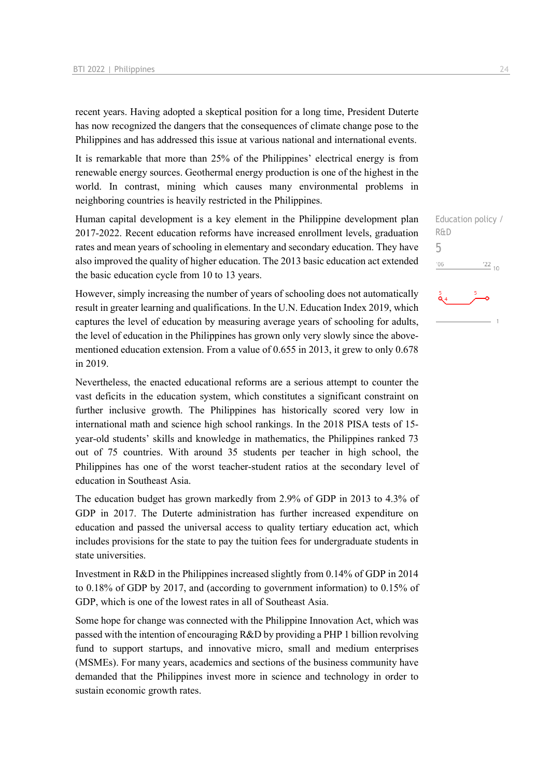recent years. Having adopted a skeptical position for a long time, President Duterte has now recognized the dangers that the consequences of climate change pose to the Philippines and has addressed this issue at various national and international events.

It is remarkable that more than 25% of the Philippines' electrical energy is from renewable energy sources. Geothermal energy production is one of the highest in the world. In contrast, mining which causes many environmental problems in neighboring countries is heavily restricted in the Philippines.

Human capital development is a key element in the Philippine development plan 2017-2022. Recent education reforms have increased enrollment levels, graduation rates and mean years of schooling in elementary and secondary education. They have also improved the quality of higher education. The 2013 basic education act extended the basic education cycle from 10 to 13 years.

However, simply increasing the number of years of schooling does not automatically result in greater learning and qualifications. In the U.N. Education Index 2019, which captures the level of education by measuring average years of schooling for adults, the level of education in the Philippines has grown only very slowly since the abovementioned education extension. From a value of 0.655 in 2013, it grew to only 0.678 in 2019.

Nevertheless, the enacted educational reforms are a serious attempt to counter the vast deficits in the education system, which constitutes a significant constraint on further inclusive growth. The Philippines has historically scored very low in international math and science high school rankings. In the 2018 PISA tests of 15 year-old students' skills and knowledge in mathematics, the Philippines ranked 73 out of 75 countries. With around 35 students per teacher in high school, the Philippines has one of the worst teacher-student ratios at the secondary level of education in Southeast Asia.

The education budget has grown markedly from 2.9% of GDP in 2013 to 4.3% of GDP in 2017. The Duterte administration has further increased expenditure on education and passed the universal access to quality tertiary education act, which includes provisions for the state to pay the tuition fees for undergraduate students in state universities.

Investment in R&D in the Philippines increased slightly from 0.14% of GDP in 2014 to 0.18% of GDP by 2017, and (according to government information) to 0.15% of GDP, which is one of the lowest rates in all of Southeast Asia.

Some hope for change was connected with the Philippine Innovation Act, which was passed with the intention of encouraging R&D by providing a PHP 1 billion revolving fund to support startups, and innovative micro, small and medium enterprises (MSMEs). For many years, academics and sections of the business community have demanded that the Philippines invest more in science and technology in order to sustain economic growth rates.

Education policy / R&D 5 $06'$  $\frac{22}{10}$ 

 $\mathbf{a}_4$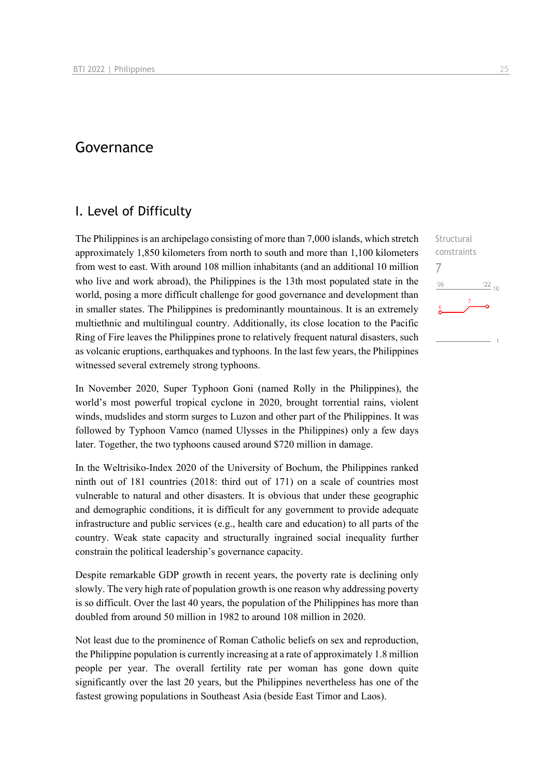## Governance

## I. Level of Difficulty

The Philippines is an archipelago consisting of more than 7,000 islands, which stretch approximately 1,850 kilometers from north to south and more than 1,100 kilometers from west to east. With around 108 million inhabitants (and an additional 10 million who live and work abroad), the Philippines is the 13th most populated state in the world, posing a more difficult challenge for good governance and development than in smaller states. The Philippines is predominantly mountainous. It is an extremely multiethnic and multilingual country. Additionally, its close location to the Pacific Ring of Fire leaves the Philippines prone to relatively frequent natural disasters, such as volcanic eruptions, earthquakes and typhoons. In the last few years, the Philippines witnessed several extremely strong typhoons.

In November 2020, Super Typhoon Goni (named Rolly in the Philippines), the world's most powerful tropical cyclone in 2020, brought torrential rains, violent winds, mudslides and storm surges to Luzon and other part of the Philippines. It was followed by Typhoon Vamco (named Ulysses in the Philippines) only a few days later. Together, the two typhoons caused around \$720 million in damage.

In the Weltrisiko-Index 2020 of the University of Bochum, the Philippines ranked ninth out of 181 countries (2018: third out of 171) on a scale of countries most vulnerable to natural and other disasters. It is obvious that under these geographic and demographic conditions, it is difficult for any government to provide adequate infrastructure and public services (e.g., health care and education) to all parts of the country. Weak state capacity and structurally ingrained social inequality further constrain the political leadership's governance capacity.

Despite remarkable GDP growth in recent years, the poverty rate is declining only slowly. The very high rate of population growth is one reason why addressing poverty is so difficult. Over the last 40 years, the population of the Philippines has more than doubled from around 50 million in 1982 to around 108 million in 2020.

Not least due to the prominence of Roman Catholic beliefs on sex and reproduction, the Philippine population is currently increasing at a rate of approximately 1.8 million people per year. The overall fertility rate per woman has gone down quite significantly over the last 20 years, but the Philippines nevertheless has one of the fastest growing populations in Southeast Asia (beside East Timor and Laos).

**Structural** constraints

 $^{22}$  10

7 $n<sub>6</sub>$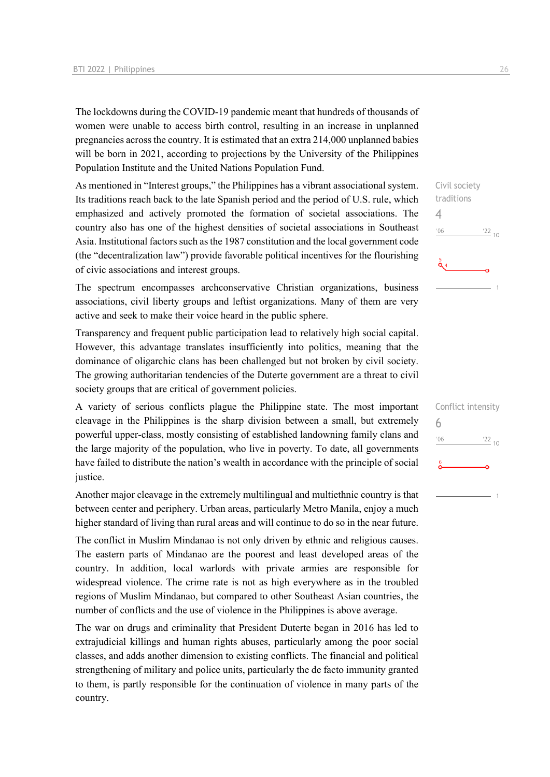The lockdowns during the COVID-19 pandemic meant that hundreds of thousands of women were unable to access birth control, resulting in an increase in unplanned pregnancies across the country. It is estimated that an extra 214,000 unplanned babies will be born in 2021, according to projections by the University of the Philippines Population Institute and the United Nations Population Fund.

As mentioned in "Interest groups," the Philippines has a vibrant associational system. Its traditions reach back to the late Spanish period and the period of U.S. rule, which emphasized and actively promoted the formation of societal associations. The country also has one of the highest densities of societal associations in Southeast Asia. Institutional factors such as the 1987 constitution and the local government code (the "decentralization law") provide favorable political incentives for the flourishing of civic associations and interest groups.

The spectrum encompasses archconservative Christian organizations, business associations, civil liberty groups and leftist organizations. Many of them are very active and seek to make their voice heard in the public sphere.

Transparency and frequent public participation lead to relatively high social capital. However, this advantage translates insufficiently into politics, meaning that the dominance of oligarchic clans has been challenged but not broken by civil society. The growing authoritarian tendencies of the Duterte government are a threat to civil society groups that are critical of government policies.

A variety of serious conflicts plague the Philippine state. The most important cleavage in the Philippines is the sharp division between a small, but extremely powerful upper-class, mostly consisting of established landowning family clans and the large majority of the population, who live in poverty. To date, all governments have failed to distribute the nation's wealth in accordance with the principle of social justice.

Another major cleavage in the extremely multilingual and multiethnic country is that between center and periphery. Urban areas, particularly Metro Manila, enjoy a much higher standard of living than rural areas and will continue to do so in the near future.

The conflict in Muslim Mindanao is not only driven by ethnic and religious causes. The eastern parts of Mindanao are the poorest and least developed areas of the country. In addition, local warlords with private armies are responsible for widespread violence. The crime rate is not as high everywhere as in the troubled regions of Muslim Mindanao, but compared to other Southeast Asian countries, the number of conflicts and the use of violence in the Philippines is above average.

The war on drugs and criminality that President Duterte began in 2016 has led to extrajudicial killings and human rights abuses, particularly among the poor social classes, and adds another dimension to existing conflicts. The financial and political strengthening of military and police units, particularly the de facto immunity granted to them, is partly responsible for the continuation of violence in many parts of the country.

Civil society traditions 4  $\frac{22}{10}$  $'06$ 

|     | Conflict intensity |
|-----|--------------------|
| 6   |                    |
| '06 | $\frac{22}{10}$    |
| 6   |                    |
|     |                    |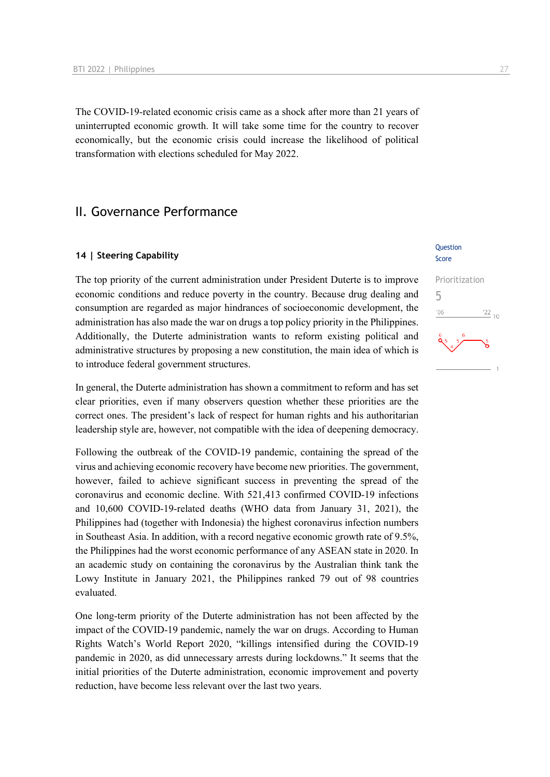The COVID-19-related economic crisis came as a shock after more than 21 years of uninterrupted economic growth. It will take some time for the country to recover economically, but the economic crisis could increase the likelihood of political transformation with elections scheduled for May 2022.

## II. Governance Performance

#### **14 | Steering Capability**

The top priority of the current administration under President Duterte is to improve economic conditions and reduce poverty in the country. Because drug dealing and consumption are regarded as major hindrances of socioeconomic development, the administration has also made the war on drugs a top policy priority in the Philippines. Additionally, the Duterte administration wants to reform existing political and administrative structures by proposing a new constitution, the main idea of which is to introduce federal government structures.

In general, the Duterte administration has shown a commitment to reform and has set clear priorities, even if many observers question whether these priorities are the correct ones. The president's lack of respect for human rights and his authoritarian leadership style are, however, not compatible with the idea of deepening democracy.

Following the outbreak of the COVID-19 pandemic, containing the spread of the virus and achieving economic recovery have become new priorities. The government, however, failed to achieve significant success in preventing the spread of the coronavirus and economic decline. With 521,413 confirmed COVID-19 infections and 10,600 COVID-19-related deaths (WHO data from January 31, 2021), the Philippines had (together with Indonesia) the highest coronavirus infection numbers in Southeast Asia. In addition, with a record negative economic growth rate of 9.5%, the Philippines had the worst economic performance of any ASEAN state in 2020. In an academic study on containing the coronavirus by the Australian think tank the Lowy Institute in January 2021, the Philippines ranked 79 out of 98 countries evaluated.

One long-term priority of the Duterte administration has not been affected by the impact of the COVID-19 pandemic, namely the war on drugs. According to Human Rights Watch's World Report 2020, "killings intensified during the COVID-19 pandemic in 2020, as did unnecessary arrests during lockdowns." It seems that the initial priorities of the Duterte administration, economic improvement and poverty reduction, have become less relevant over the last two years.

#### **Ouestion** Score

## Prioritization 5 $06'$  $\frac{22}{10}$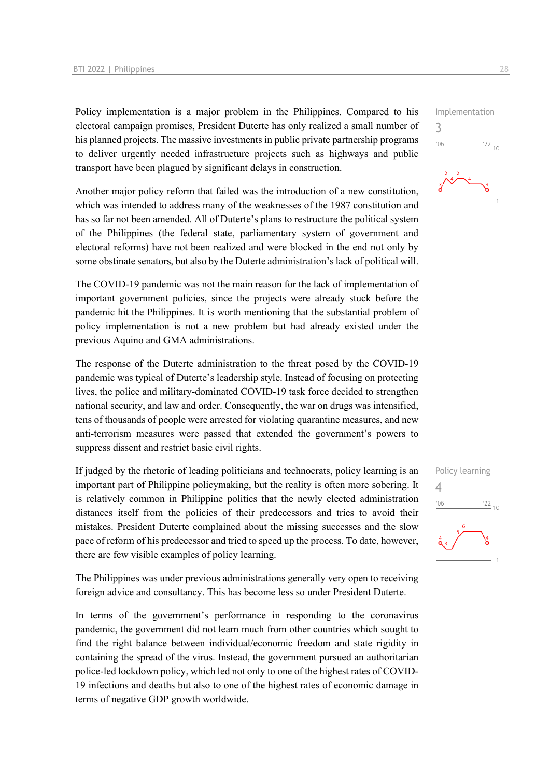Policy implementation is a major problem in the Philippines. Compared to his electoral campaign promises, President Duterte has only realized a small number of his planned projects. The massive investments in public private partnership programs to deliver urgently needed infrastructure projects such as highways and public transport have been plagued by significant delays in construction.

Another major policy reform that failed was the introduction of a new constitution, which was intended to address many of the weaknesses of the 1987 constitution and has so far not been amended. All of Duterte's plans to restructure the political system of the Philippines (the federal state, parliamentary system of government and electoral reforms) have not been realized and were blocked in the end not only by some obstinate senators, but also by the Duterte administration's lack of political will.

The COVID-19 pandemic was not the main reason for the lack of implementation of important government policies, since the projects were already stuck before the pandemic hit the Philippines. It is worth mentioning that the substantial problem of policy implementation is not a new problem but had already existed under the previous Aquino and GMA administrations.

The response of the Duterte administration to the threat posed by the COVID-19 pandemic was typical of Duterte's leadership style. Instead of focusing on protecting lives, the police and military-dominated COVID-19 task force decided to strengthen national security, and law and order. Consequently, the war on drugs was intensified, tens of thousands of people were arrested for violating quarantine measures, and new anti-terrorism measures were passed that extended the government's powers to suppress dissent and restrict basic civil rights.

If judged by the rhetoric of leading politicians and technocrats, policy learning is an important part of Philippine policymaking, but the reality is often more sobering. It is relatively common in Philippine politics that the newly elected administration distances itself from the policies of their predecessors and tries to avoid their mistakes. President Duterte complained about the missing successes and the slow pace of reform of his predecessor and tried to speed up the process. To date, however, there are few visible examples of policy learning.

The Philippines was under previous administrations generally very open to receiving foreign advice and consultancy. This has become less so under President Duterte.

In terms of the government's performance in responding to the coronavirus pandemic, the government did not learn much from other countries which sought to find the right balance between individual/economic freedom and state rigidity in containing the spread of the virus. Instead, the government pursued an authoritarian police-led lockdown policy, which led not only to one of the highest rates of COVID-19 infections and deaths but also to one of the highest rates of economic damage in terms of negative GDP growth worldwide.





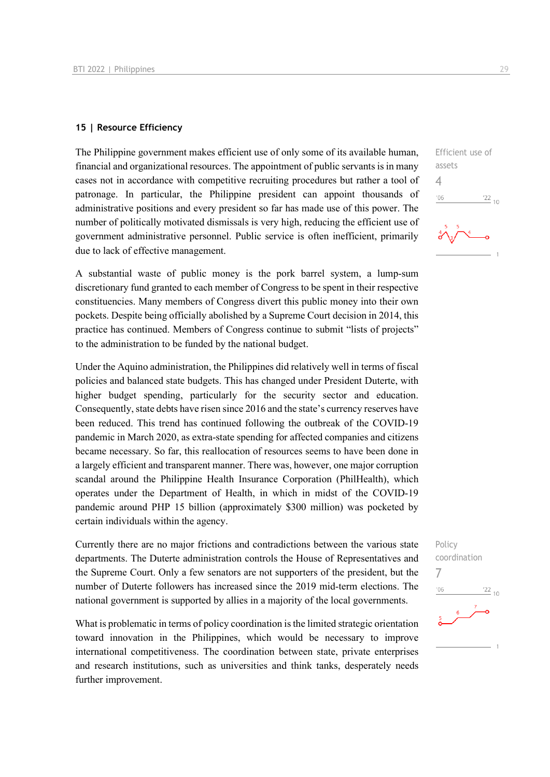#### **15 | Resource Efficiency**

The Philippine government makes efficient use of only some of its available human, financial and organizational resources. The appointment of public servants is in many cases not in accordance with competitive recruiting procedures but rather a tool of patronage. In particular, the Philippine president can appoint thousands of administrative positions and every president so far has made use of this power. The number of politically motivated dismissals is very high, reducing the efficient use of government administrative personnel. Public service is often inefficient, primarily due to lack of effective management.

A substantial waste of public money is the pork barrel system, a lump-sum discretionary fund granted to each member of Congress to be spent in their respective constituencies. Many members of Congress divert this public money into their own pockets. Despite being officially abolished by a Supreme Court decision in 2014, this practice has continued. Members of Congress continue to submit "lists of projects" to the administration to be funded by the national budget.

Under the Aquino administration, the Philippines did relatively well in terms of fiscal policies and balanced state budgets. This has changed under President Duterte, with higher budget spending, particularly for the security sector and education. Consequently, state debts have risen since 2016 and the state's currency reserves have been reduced. This trend has continued following the outbreak of the COVID-19 pandemic in March 2020, as extra-state spending for affected companies and citizens became necessary. So far, this reallocation of resources seems to have been done in a largely efficient and transparent manner. There was, however, one major corruption scandal around the Philippine Health Insurance Corporation (PhilHealth), which operates under the Department of Health, in which in midst of the COVID-19 pandemic around PHP 15 billion (approximately \$300 million) was pocketed by certain individuals within the agency.

Currently there are no major frictions and contradictions between the various state departments. The Duterte administration controls the House of Representatives and the Supreme Court. Only a few senators are not supporters of the president, but the number of Duterte followers has increased since the 2019 mid-term elections. The national government is supported by allies in a majority of the local governments.

What is problematic in terms of policy coordination is the limited strategic orientation toward innovation in the Philippines, which would be necessary to improve international competitiveness. The coordination between state, private enterprises and research institutions, such as universities and think tanks, desperately needs further improvement.



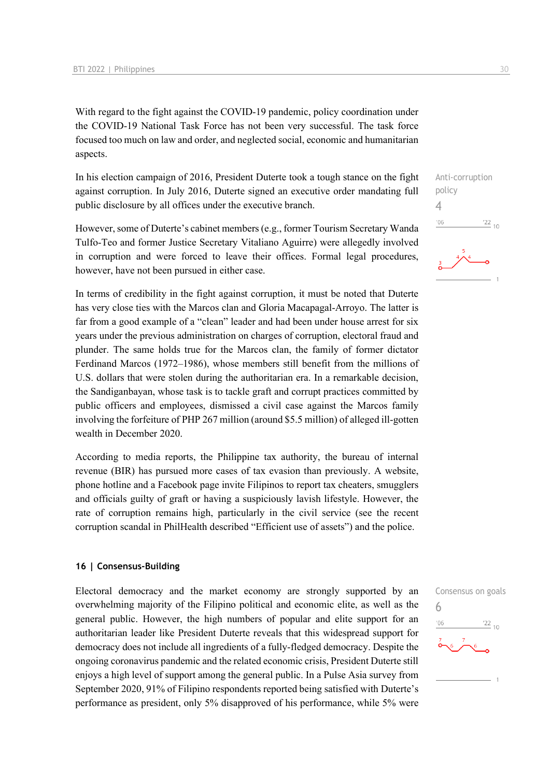With regard to the fight against the COVID-19 pandemic, policy coordination under the COVID-19 National Task Force has not been very successful. The task force focused too much on law and order, and neglected social, economic and humanitarian aspects.

In his election campaign of 2016, President Duterte took a tough stance on the fight against corruption. In July 2016, Duterte signed an executive order mandating full public disclosure by all offices under the executive branch.

However, some of Duterte's cabinet members (e.g., former Tourism Secretary Wanda Tulfo-Teo and former Justice Secretary Vitaliano Aguirre) were allegedly involved in corruption and were forced to leave their offices. Formal legal procedures, however, have not been pursued in either case.

In terms of credibility in the fight against corruption, it must be noted that Duterte has very close ties with the Marcos clan and Gloria Macapagal-Arroyo. The latter is far from a good example of a "clean" leader and had been under house arrest for six years under the previous administration on charges of corruption, electoral fraud and plunder. The same holds true for the Marcos clan, the family of former dictator Ferdinand Marcos (1972–1986), whose members still benefit from the millions of U.S. dollars that were stolen during the authoritarian era. In a remarkable decision, the Sandiganbayan, whose task is to tackle graft and corrupt practices committed by public officers and employees, dismissed a civil case against the Marcos family involving the forfeiture of PHP 267 million (around \$5.5 million) of alleged ill-gotten wealth in December 2020.

According to media reports, the Philippine tax authority, the bureau of internal revenue (BIR) has pursued more cases of tax evasion than previously. A website, phone hotline and a Facebook page invite Filipinos to report tax cheaters, smugglers and officials guilty of graft or having a suspiciously lavish lifestyle. However, the rate of corruption remains high, particularly in the civil service (see the recent corruption scandal in PhilHealth described "Efficient use of assets") and the police.

#### **16 | Consensus-Building**

Electoral democracy and the market economy are strongly supported by an overwhelming majority of the Filipino political and economic elite, as well as the general public. However, the high numbers of popular and elite support for an authoritarian leader like President Duterte reveals that this widespread support for democracy does not include all ingredients of a fully-fledged democracy. Despite the ongoing coronavirus pandemic and the related economic crisis, President Duterte still enjoys a high level of support among the general public. In a Pulse Asia survey from September 2020, 91% of Filipino respondents reported being satisfied with Duterte's performance as president, only 5% disapproved of his performance, while 5% were

Anti-corruption policy 4  $\frac{22}{10}$  $'06$ 

6

 $-06$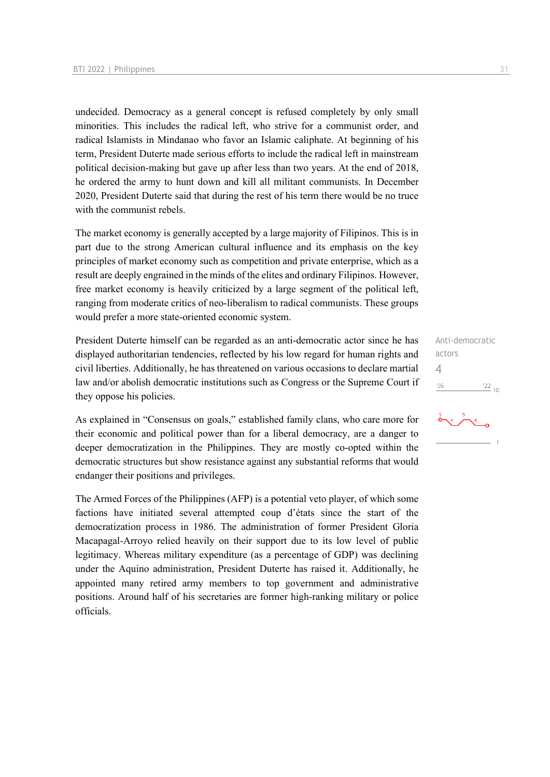undecided. Democracy as a general concept is refused completely by only small minorities. This includes the radical left, who strive for a communist order, and radical Islamists in Mindanao who favor an Islamic caliphate. At beginning of his term, President Duterte made serious efforts to include the radical left in mainstream political decision-making but gave up after less than two years. At the end of 2018, he ordered the army to hunt down and kill all militant communists. In December 2020, President Duterte said that during the rest of his term there would be no truce with the communist rebels.

The market economy is generally accepted by a large majority of Filipinos. This is in part due to the strong American cultural influence and its emphasis on the key principles of market economy such as competition and private enterprise, which as a result are deeply engrained in the minds of the elites and ordinary Filipinos. However, free market economy is heavily criticized by a large segment of the political left, ranging from moderate critics of neo-liberalism to radical communists. These groups would prefer a more state-oriented economic system.

President Duterte himself can be regarded as an anti-democratic actor since he has displayed authoritarian tendencies, reflected by his low regard for human rights and civil liberties. Additionally, he has threatened on various occasions to declare martial law and/or abolish democratic institutions such as Congress or the Supreme Court if they oppose his policies.

As explained in "Consensus on goals," established family clans, who care more for their economic and political power than for a liberal democracy, are a danger to deeper democratization in the Philippines. They are mostly co-opted within the democratic structures but show resistance against any substantial reforms that would endanger their positions and privileges.

The Armed Forces of the Philippines (AFP) is a potential veto player, of which some factions have initiated several attempted coup d'états since the start of the democratization process in 1986. The administration of former President Gloria Macapagal-Arroyo relied heavily on their support due to its low level of public legitimacy. Whereas military expenditure (as a percentage of GDP) was declining under the Aquino administration, President Duterte has raised it. Additionally, he appointed many retired army members to top government and administrative positions. Around half of his secretaries are former high-ranking military or police officials.

Anti-democratic actors 4 $\frac{22}{10}$  $'06$ 

 $\stackrel{>}{\bullet}$   $\sim$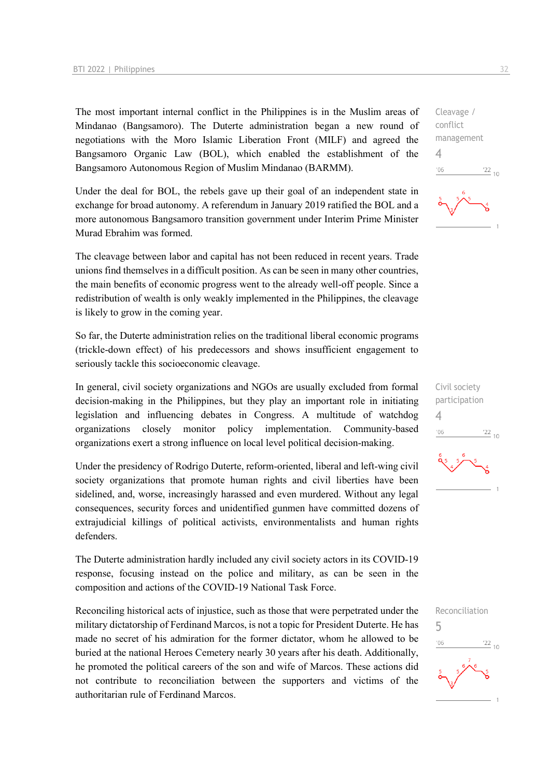The most important internal conflict in the Philippines is in the Muslim areas of Mindanao (Bangsamoro). The Duterte administration began a new round of negotiations with the Moro Islamic Liberation Front (MILF) and agreed the Bangsamoro Organic Law (BOL), which enabled the establishment of the Bangsamoro Autonomous Region of Muslim Mindanao (BARMM).

Under the deal for BOL, the rebels gave up their goal of an independent state in exchange for broad autonomy. A referendum in January 2019 ratified the BOL and a more autonomous Bangsamoro transition government under Interim Prime Minister Murad Ebrahim was formed.

The cleavage between labor and capital has not been reduced in recent years. Trade unions find themselves in a difficult position. As can be seen in many other countries, the main benefits of economic progress went to the already well-off people. Since a redistribution of wealth is only weakly implemented in the Philippines, the cleavage is likely to grow in the coming year.

So far, the Duterte administration relies on the traditional liberal economic programs (trickle-down effect) of his predecessors and shows insufficient engagement to seriously tackle this socioeconomic cleavage.

In general, civil society organizations and NGOs are usually excluded from formal decision-making in the Philippines, but they play an important role in initiating legislation and influencing debates in Congress. A multitude of watchdog organizations closely monitor policy implementation. Community-based organizations exert a strong influence on local level political decision-making.

Under the presidency of Rodrigo Duterte, reform-oriented, liberal and left-wing civil society organizations that promote human rights and civil liberties have been sidelined, and, worse, increasingly harassed and even murdered. Without any legal consequences, security forces and unidentified gunmen have committed dozens of extrajudicial killings of political activists, environmentalists and human rights defenders.

The Duterte administration hardly included any civil society actors in its COVID-19 response, focusing instead on the police and military, as can be seen in the composition and actions of the COVID-19 National Task Force.

Reconciling historical acts of injustice, such as those that were perpetrated under the military dictatorship of Ferdinand Marcos, is not a topic for President Duterte. He has made no secret of his admiration for the former dictator, whom he allowed to be buried at the national Heroes Cemetery nearly 30 years after his death. Additionally, he promoted the political careers of the son and wife of Marcos. These actions did not contribute to reconciliation between the supporters and victims of the authoritarian rule of Ferdinand Marcos.



Cleavage / conflict management

4





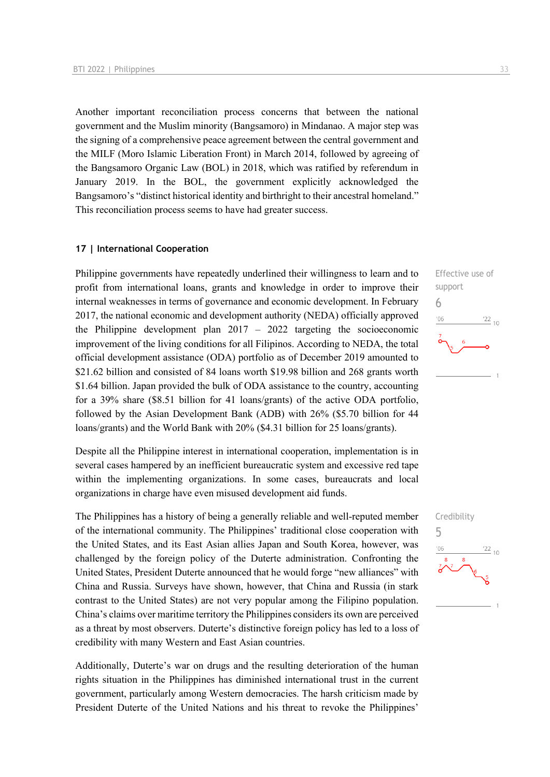Another important reconciliation process concerns that between the national government and the Muslim minority (Bangsamoro) in Mindanao. A major step was the signing of a comprehensive peace agreement between the central government and the MILF (Moro Islamic Liberation Front) in March 2014, followed by agreeing of the Bangsamoro Organic Law (BOL) in 2018, which was ratified by referendum in January 2019. In the BOL, the government explicitly acknowledged the Bangsamoro's "distinct historical identity and birthright to their ancestral homeland." This reconciliation process seems to have had greater success.

#### **17 | International Cooperation**

Philippine governments have repeatedly underlined their willingness to learn and to profit from international loans, grants and knowledge in order to improve their internal weaknesses in terms of governance and economic development. In February 2017, the national economic and development authority (NEDA) officially approved the Philippine development plan  $2017 - 2022$  targeting the socioeconomic improvement of the living conditions for all Filipinos. According to NEDA, the total official development assistance (ODA) portfolio as of December 2019 amounted to \$21.62 billion and consisted of 84 loans worth \$19.98 billion and 268 grants worth \$1.64 billion. Japan provided the bulk of ODA assistance to the country, accounting for a 39% share (\$8.51 billion for 41 loans/grants) of the active ODA portfolio, followed by the Asian Development Bank (ADB) with 26% (\$5.70 billion for 44 loans/grants) and the World Bank with 20% (\$4.31 billion for 25 loans/grants).

Despite all the Philippine interest in international cooperation, implementation is in several cases hampered by an inefficient bureaucratic system and excessive red tape within the implementing organizations. In some cases, bureaucrats and local organizations in charge have even misused development aid funds.

The Philippines has a history of being a generally reliable and well-reputed member of the international community. The Philippines' traditional close cooperation with the United States, and its East Asian allies Japan and South Korea, however, was challenged by the foreign policy of the Duterte administration. Confronting the United States, President Duterte announced that he would forge "new alliances" with China and Russia. Surveys have shown, however, that China and Russia (in stark contrast to the United States) are not very popular among the Filipino population. China's claims over maritime territory the Philippines considers its own are perceived as a threat by most observers. Duterte's distinctive foreign policy has led to a loss of credibility with many Western and East Asian countries.

Additionally, Duterte's war on drugs and the resulting deterioration of the human rights situation in the Philippines has diminished international trust in the current government, particularly among Western democracies. The harsh criticism made by President Duterte of the United Nations and his threat to revoke the Philippines'



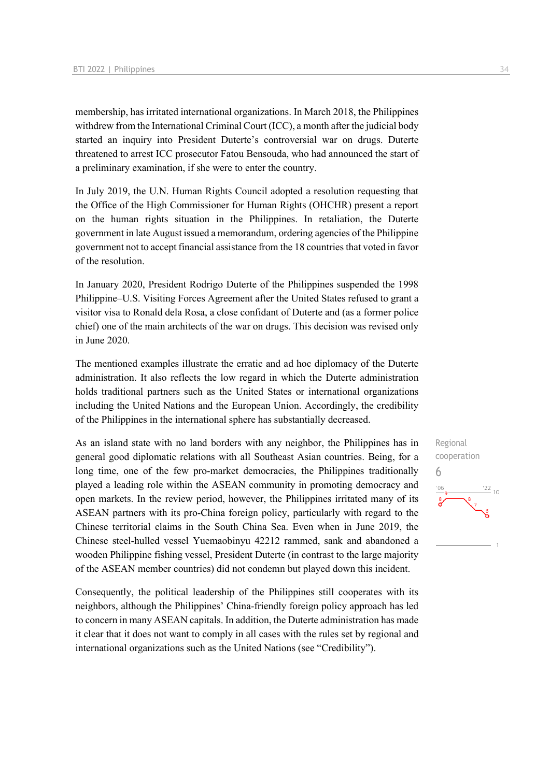membership, has irritated international organizations. In March 2018, the Philippines withdrew from the International Criminal Court (ICC), a month after the judicial body started an inquiry into President Duterte's controversial war on drugs. Duterte threatened to arrest ICC prosecutor Fatou Bensouda, who had announced the start of a preliminary examination, if she were to enter the country.

In July 2019, the U.N. Human Rights Council adopted a resolution requesting that the Office of the High Commissioner for Human Rights (OHCHR) present a report on the human rights situation in the Philippines. In retaliation, the Duterte government in late August issued a memorandum, ordering agencies of the Philippine government not to accept financial assistance from the 18 countries that voted in favor of the resolution.

In January 2020, President Rodrigo Duterte of the Philippines suspended the 1998 Philippine–U.S. Visiting Forces Agreement after the United States refused to grant a visitor visa to Ronald dela Rosa, a close confidant of Duterte and (as a former police chief) one of the main architects of the war on drugs. This decision was revised only in June 2020.

The mentioned examples illustrate the erratic and ad hoc diplomacy of the Duterte administration. It also reflects the low regard in which the Duterte administration holds traditional partners such as the United States or international organizations including the United Nations and the European Union. Accordingly, the credibility of the Philippines in the international sphere has substantially decreased.

As an island state with no land borders with any neighbor, the Philippines has in general good diplomatic relations with all Southeast Asian countries. Being, for a long time, one of the few pro-market democracies, the Philippines traditionally played a leading role within the ASEAN community in promoting democracy and open markets. In the review period, however, the Philippines irritated many of its ASEAN partners with its pro-China foreign policy, particularly with regard to the Chinese territorial claims in the South China Sea. Even when in June 2019, the Chinese steel-hulled vessel Yuemaobinyu 42212 rammed, sank and abandoned a wooden Philippine fishing vessel, President Duterte (in contrast to the large majority of the ASEAN member countries) did not condemn but played down this incident.

Consequently, the political leadership of the Philippines still cooperates with its neighbors, although the Philippines' China-friendly foreign policy approach has led to concern in many ASEAN capitals. In addition, the Duterte administration has made it clear that it does not want to comply in all cases with the rules set by regional and international organizations such as the United Nations (see "Credibility").

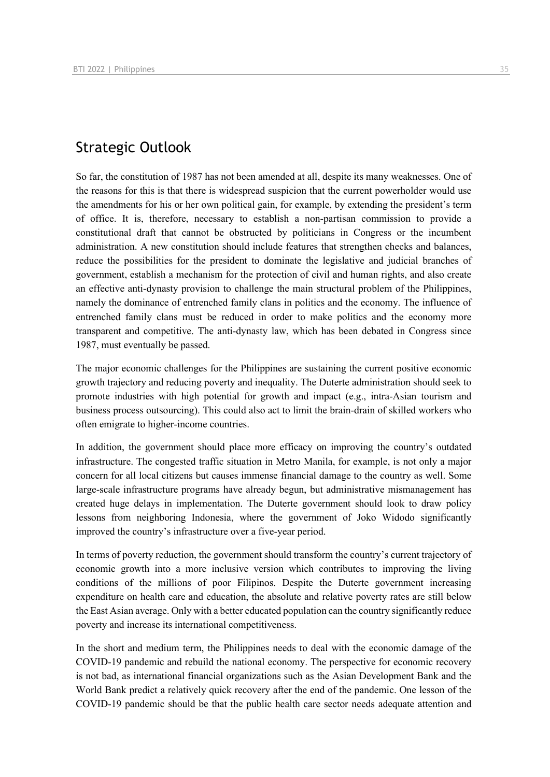## Strategic Outlook

So far, the constitution of 1987 has not been amended at all, despite its many weaknesses. One of the reasons for this is that there is widespread suspicion that the current powerholder would use the amendments for his or her own political gain, for example, by extending the president's term of office. It is, therefore, necessary to establish a non-partisan commission to provide a constitutional draft that cannot be obstructed by politicians in Congress or the incumbent administration. A new constitution should include features that strengthen checks and balances, reduce the possibilities for the president to dominate the legislative and judicial branches of government, establish a mechanism for the protection of civil and human rights, and also create an effective anti-dynasty provision to challenge the main structural problem of the Philippines, namely the dominance of entrenched family clans in politics and the economy. The influence of entrenched family clans must be reduced in order to make politics and the economy more transparent and competitive. The anti-dynasty law, which has been debated in Congress since 1987, must eventually be passed.

The major economic challenges for the Philippines are sustaining the current positive economic growth trajectory and reducing poverty and inequality. The Duterte administration should seek to promote industries with high potential for growth and impact (e.g., intra-Asian tourism and business process outsourcing). This could also act to limit the brain-drain of skilled workers who often emigrate to higher-income countries.

In addition, the government should place more efficacy on improving the country's outdated infrastructure. The congested traffic situation in Metro Manila, for example, is not only a major concern for all local citizens but causes immense financial damage to the country as well. Some large-scale infrastructure programs have already begun, but administrative mismanagement has created huge delays in implementation. The Duterte government should look to draw policy lessons from neighboring Indonesia, where the government of Joko Widodo significantly improved the country's infrastructure over a five-year period.

In terms of poverty reduction, the government should transform the country's current trajectory of economic growth into a more inclusive version which contributes to improving the living conditions of the millions of poor Filipinos. Despite the Duterte government increasing expenditure on health care and education, the absolute and relative poverty rates are still below the East Asian average. Only with a better educated population can the country significantly reduce poverty and increase its international competitiveness.

In the short and medium term, the Philippines needs to deal with the economic damage of the COVID-19 pandemic and rebuild the national economy. The perspective for economic recovery is not bad, as international financial organizations such as the Asian Development Bank and the World Bank predict a relatively quick recovery after the end of the pandemic. One lesson of the COVID-19 pandemic should be that the public health care sector needs adequate attention and